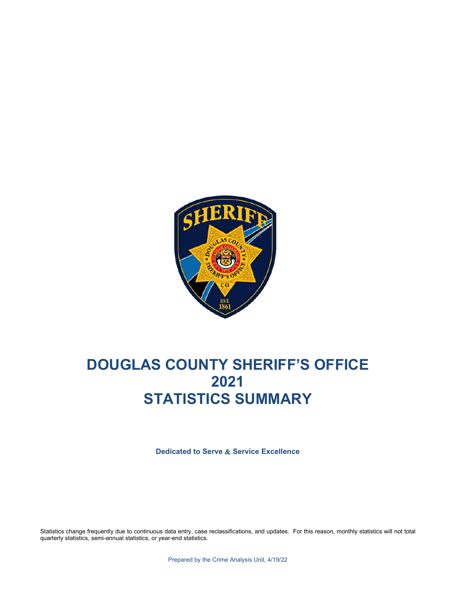

# **DOUGLAS COUNTY SHERIFF'S OFFICE 2021 STATISTICS SUMMARY**

**Dedicated to Serve** & **Service Excellence**

Statistics change frequently due to continuous data entry, case reclassifications, and updates. For this reason, monthly statistics will not total quarterly statistics, semi-annual statistics, or year-end statistics.

Prepared by the Crime Analysis Unit, 4/19/22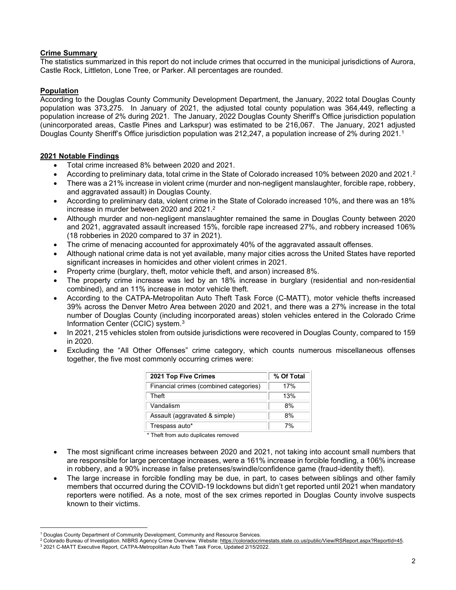#### **Crime Summary**

The statistics summarized in this report do not include crimes that occurred in the municipal jurisdictions of Aurora, Castle Rock, Littleton, Lone Tree, or Parker. All percentages are rounded.

#### **Population**

According to the Douglas County Community Development Department, the January, 2022 total Douglas County population was 373,275. In January of 2021, the adjusted total county population was 364,449, reflecting a population increase of 2% during 2021. The January, 2022 Douglas County Sheriff's Office jurisdiction population (unincorporated areas, Castle Pines and Larkspur) was estimated to be 216,067. The January, 2021 adjusted Douglas County Sheriff's Office jurisdiction population was 2[1](#page-1-1)2,247, a population increase of 2% during 2021.<sup>1</sup>

#### **2021 Notable Findings**

- Total crime increased 8% between 2020 and 2021.
- According to preliminary data, total crime in the State of Colorado increased 10% between 2020 and 2021.[2](#page-1-2)
- There was a 21% increase in violent crime (murder and non-negligent manslaughter, forcible rape, robbery, and aggravated assault) in Douglas County.
- According to preliminary data, violent crime in the State of Colorado increased 10%, and there was an 18% increase in murder between 2020 and 2021[.2](#page-1-0)
- Although murder and non-negligent manslaughter remained the same in Douglas County between 2020 and 2021, aggravated assault increased 15%, forcible rape increased 27%, and robbery increased 106% (18 robberies in 2020 compared to 37 in 2021).
- The crime of menacing accounted for approximately 40% of the aggravated assault offenses.
- Although national crime data is not yet available, many major cities across the United States have reported significant increases in homicides and other violent crimes in 2021.
- Property crime (burglary, theft, motor vehicle theft, and arson) increased 8%.
- The property crime increase was led by an 18% increase in burglary (residential and non-residential combined), and an 11% increase in motor vehicle theft.
- According to the CATPA-Metropolitan Auto Theft Task Force (C-MATT), motor vehicle thefts increased 39% across the Denver Metro Area between 2020 and 2021, and there was a 27% increase in the total number of Douglas County (including incorporated areas) stolen vehicles entered in the Colorado Crime Information Center (CCIC) system.[3](#page-1-3)
- In 2021, 215 vehicles stolen from outside jurisdictions were recovered in Douglas County, compared to 159 in 2020.
- Excluding the "All Other Offenses" crime category, which counts numerous miscellaneous offenses together, the five most commonly occurring crimes were:

<span id="page-1-4"></span><span id="page-1-0"></span>

| <b>2021 Top Five Crimes</b>            | % Of Total |
|----------------------------------------|------------|
| Financial crimes (combined categories) | 17%        |
| Theft                                  | 13%        |
| Vandalism                              | 8%         |
| Assault (aggravated & simple)          | 8%         |
| Trespass auto*                         | 7%         |

\* Theft from auto duplicates removed

- The most significant crime increases between 2020 and 2021, not taking into account small numbers that are responsible for large percentage increases, were a 161% increase in forcible fondling, a 106% increase in robbery, and a 90% increase in false pretenses/swindle/confidence game (fraud-identity theft).
- The large increase in forcible fondling may be due, in part, to cases between siblings and other family members that occurred during the COVID-19 lockdowns but didn't get reported until 2021 when mandatory reporters were notified. As a note, most of the sex crimes reported in Douglas County involve suspects known to their victims.

<sup>1</sup> Douglas County Department of Community Development, Community and Resource Services.

<span id="page-1-1"></span><sup>&</sup>lt;sup>2</sup> Colorado Bureau of Investigation. NIBRS Agency Crime Overview. Website: [https://coloradocrimestats.state.co.us/public/View/RSReport.aspx?ReportId=45.](https://coloradocrimestats.state.co.us/public/View/RSReport.aspx?ReportId=45)

<span id="page-1-3"></span><span id="page-1-2"></span><sup>3</sup> 2021 C-MATT Executive Report, CATPA-Metropolitan Auto Theft Task Force, Updated 2/15/2022.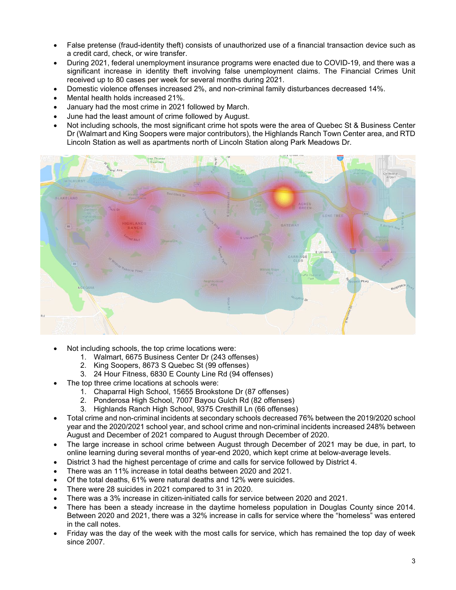- False pretense (fraud-identity theft) consists of unauthorized use of a financial transaction device such as a credit card, check, or wire transfer.
- During 2021, federal unemployment insurance programs were enacted due to COVID-19, and there was a significant increase in identity theft involving false unemployment claims. The Financial Crimes Unit received up to 80 cases per week for several months during 2021.
- Domestic violence offenses increased 2%, and non-criminal family disturbances decreased 14%.
- Mental health holds increased 21%.
- January had the most crime in 2021 followed by March.
- June had the least amount of crime followed by August.
- Not including schools, the most significant crime hot spots were the area of Quebec St & Business Center Dr (Walmart and King Soopers were major contributors), the Highlands Ranch Town Center area, and RTD Lincoln Station as well as apartments north of Lincoln Station along Park Meadows Dr.



- Not including schools, the top crime locations were:
	- 1. Walmart, 6675 Business Center Dr (243 offenses)
	- 2. King Soopers, 8673 S Quebec St (99 offenses)
	- 3. 24 Hour Fitness, 6830 E County Line Rd (94 offenses)
- The top three crime locations at schools were:
	- 1. Chaparral High School, 15655 Brookstone Dr (87 offenses)
	- 2. Ponderosa High School, 7007 Bayou Gulch Rd (82 offenses)
	- 3. Highlands Ranch High School, 9375 Cresthill Ln (66 offenses)
- Total crime and non-criminal incidents at secondary schools decreased 76% between the 2019/2020 school year and the 2020/2021 school year, and school crime and non-criminal incidents increased 248% between August and December of 2021 compared to August through December of 2020.
- The large increase in school crime between August through December of 2021 may be due, in part, to online learning during several months of year-end 2020, which kept crime at below-average levels.
- District 3 had the highest percentage of crime and calls for service followed by District 4.
- There was an 11% increase in total deaths between 2020 and 2021.
- Of the total deaths, 61% were natural deaths and 12% were suicides.
- There were 28 suicides in 2021 compared to 31 in 2020.
- There was a 3% increase in citizen-initiated calls for service between 2020 and 2021.
- There has been a steady increase in the daytime homeless population in Douglas County since 2014. Between 2020 and 2021, there was a 32% increase in calls for service where the "homeless" was entered in the call notes.
- Friday was the day of the week with the most calls for service, which has remained the top day of week since 2007.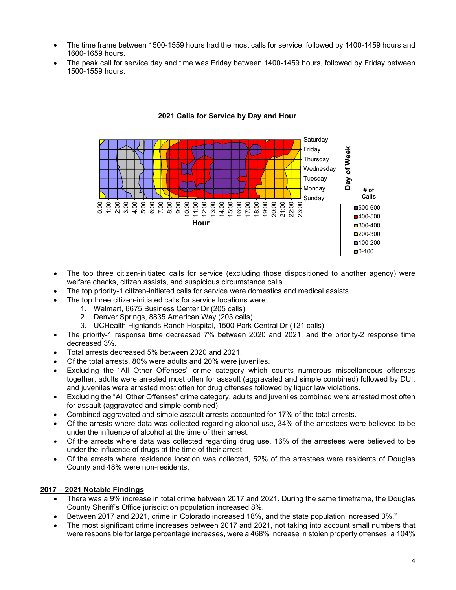- The time frame between 1500-1559 hours had the most calls for service, followed by 1400-1459 hours and 1600-1659 hours.
- The peak call for service day and time was Friday between 1400-1459 hours, followed by Friday between 1500-1559 hours.



#### **2021 Calls for Service by Day and Hour**

- The top three citizen-initiated calls for service (excluding those dispositioned to another agency) were welfare checks, citizen assists, and suspicious circumstance calls.
- The top priority-1 citizen-initiated calls for service were domestics and medical assists.
- The top three citizen-initiated calls for service locations were:
	- 1. Walmart, 6675 Business Center Dr (205 calls)
	- 2. Denver Springs, 8835 American Way (203 calls)
	- 3. UCHealth Highlands Ranch Hospital, 1500 Park Central Dr (121 calls)
- The priority-1 response time decreased 7% between 2020 and 2021, and the priority-2 response time decreased 3%.
- Total arrests decreased 5% between 2020 and 2021.
- Of the total arrests, 80% were adults and 20% were juveniles.
- Excluding the "All Other Offenses" crime category which counts numerous miscellaneous offenses together, adults were arrested most often for assault (aggravated and simple combined) followed by DUI, and juveniles were arrested most often for drug offenses followed by liquor law violations.
- Excluding the "All Other Offenses" crime category, adults and juveniles combined were arrested most often for assault (aggravated and simple combined).
- Combined aggravated and simple assault arrests accounted for 17% of the total arrests.
- Of the arrests where data was collected regarding alcohol use, 34% of the arrestees were believed to be under the influence of alcohol at the time of their arrest.
- Of the arrests where data was collected regarding drug use, 16% of the arrestees were believed to be under the influence of drugs at the time of their arrest.
- Of the arrests where residence location was collected, 52% of the arrestees were residents of Douglas County and 48% were non-residents.

#### **2017 – 2021 Notable Findings**

- There was a 9% increase in total crime between 2017 and 2021. During the same timeframe, the Douglas County Sheriff's Office jurisdiction population increased 8%.
- Between 2017 and 2021, crime in Colorado increased 18%, and the state population increased 3%.<sup>2</sup>
- The most significant crime increases between 2017 and 2021, not taking into account small numbers that were responsible for large percentage increases, were a 468% increase in stolen property offenses, a 104%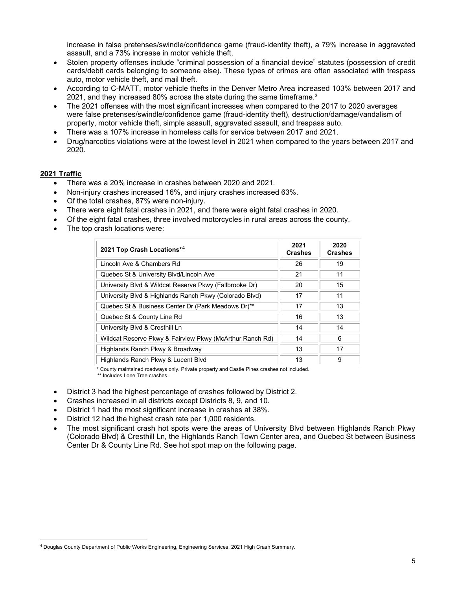increase in false pretenses/swindle/confidence game (fraud-identity theft), a 79% increase in aggravated assault, and a 73% increase in motor vehicle theft.

- Stolen property offenses include "criminal possession of a financial device" statutes (possession of credit cards/debit cards belonging to someone else). These types of crimes are often associated with trespass auto, motor vehicle theft, and mail theft.
- According to C-MATT, motor vehicle thefts in the Denver Metro Area increased 103% between 2017 and 2021, and they increased 80% across the state during the same timeframe. $^3$  $^3$
- The 2021 offenses with the most significant increases when compared to the 2017 to 2020 averages were false pretenses/swindle/confidence game (fraud-identity theft), destruction/damage/vandalism of property, motor vehicle theft, simple assault, aggravated assault, and trespass auto.
- There was a 107% increase in homeless calls for service between 2017 and 2021.
- Drug/narcotics violations were at the lowest level in 2021 when compared to the years between 2017 and 2020.

#### **2021 Traffic**

- There was a 20% increase in crashes between 2020 and 2021.
- Non-injury crashes increased 16%, and injury crashes increased 63%.
- Of the total crashes, 87% were non-injury.
- There were eight fatal crashes in 2021, and there were eight fatal crashes in 2020.
- Of the eight fatal crashes, three involved motorcycles in rural areas across the county.
- The top crash locations were:

| 2021 Top Crash Locations* <sup>4</sup>                   | 2021<br><b>Crashes</b> | 2020<br><b>Crashes</b> |
|----------------------------------------------------------|------------------------|------------------------|
| Lincoln Ave & Chambers Rd                                | 26                     | 19                     |
| Quebec St & University Blvd/Lincoln Ave                  | 21                     | 11                     |
| University Blvd & Wildcat Reserve Pkwy (Fallbrooke Dr)   | 20                     | 15                     |
| University Blvd & Highlands Ranch Pkwy (Colorado Blvd)   | 17                     | 11                     |
| Quebec St & Business Center Dr (Park Meadows Dr)**       | 17                     | 13                     |
| Quebec St & County Line Rd                               | 16                     | 13                     |
| University Blvd & Cresthill Ln                           | 14                     | 14                     |
| Wildcat Reserve Pkwy & Fairview Pkwy (McArthur Ranch Rd) | 14                     | 6                      |
| Highlands Ranch Pkwy & Broadway                          | 13                     | 17                     |
| Highlands Ranch Pkwy & Lucent Blvd                       | 13                     | 9                      |

\* County maintained roadways only. Private property and Castle Pines crashes not included.

\*\* Includes Lone Tree crashes.

- District 3 had the highest percentage of crashes followed by District 2.
- Crashes increased in all districts except Districts 8, 9, and 10.
- District 1 had the most significant increase in crashes at 38%.
- District 12 had the highest crash rate per 1,000 residents.
- The most significant crash hot spots were the areas of University Blvd between Highlands Ranch Pkwy (Colorado Blvd) & Cresthill Ln, the Highlands Ranch Town Center area, and Quebec St between Business Center Dr & County Line Rd. See hot spot map on the following page.

<span id="page-4-0"></span><sup>4</sup> Douglas County Department of Public Works Engineering, Engineering Services, 2021 High Crash Summary.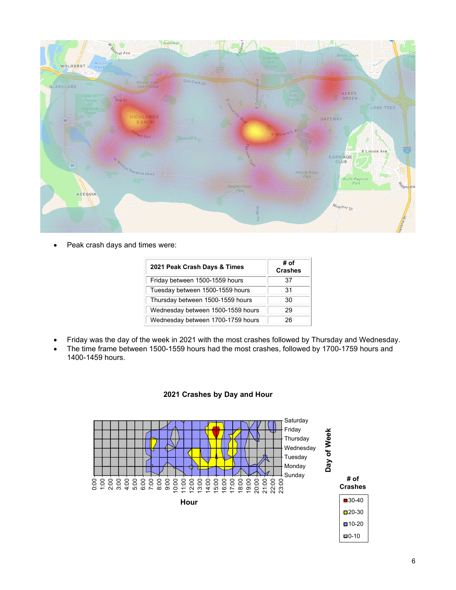

• Peak crash days and times were:

| 2021 Peak Crash Days & Times      | # of<br><b>Crashes</b> |
|-----------------------------------|------------------------|
| Friday between 1500-1559 hours    | 37                     |
| Tuesday between 1500-1559 hours   | 31                     |
| Thursday between 1500-1559 hours  | 30                     |
| Wednesday between 1500-1559 hours | 29                     |
| Wednesday between 1700-1759 hours | 26                     |

- Friday was the day of the week in 2021 with the most crashes followed by Thursday and Wednesday.
- The time frame between 1500-1559 hours had the most crashes, followed by 1700-1759 hours and 1400-1459 hours.



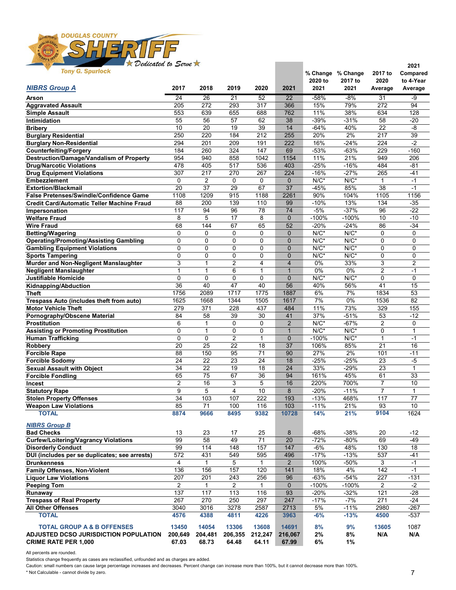

| Tony a. openoch                                                       |                |                 |                   |              |                    |                   | % Change % Change | 2017 to         | Compared        |
|-----------------------------------------------------------------------|----------------|-----------------|-------------------|--------------|--------------------|-------------------|-------------------|-----------------|-----------------|
| <b>NIBRS Group A</b>                                                  | 2017           | 2018            | 2019              | 2020         | 2021               | 2020 to<br>2021   | 2017 to<br>2021   | 2020<br>Average | to 4-Year       |
|                                                                       |                |                 |                   |              |                    |                   |                   |                 | Average         |
| Arson                                                                 | 24             | $\overline{26}$ | $\overline{21}$   | 52           | 22                 | $-58%$            | $-8%$             | 31              | -9              |
| <b>Aggravated Assault</b>                                             | 205            | 272             | 293               | 317          | 366                | 15%               | 79%               | 272             | 94              |
| <b>Simple Assault</b>                                                 | 553            | 639             | 655               | 688          | 762                | 11%               | 38%               | 634             | 128             |
| Intimidation                                                          | 55             | 56              | 57                | 62           | 38                 | $-39%$            | $-31%$            | 58              | $-20$           |
| <b>Bribery</b>                                                        | 10             | 20              | 19                | 39           | 14                 | $-64%$            | 40%               | 22              | $-8$            |
| <b>Burglary Residential</b>                                           | 250            | 220             | 184               | 212          | 255                | 20%               | 2%                | 217             | 39              |
| <b>Burglary Non-Residential</b>                                       | 294            | 201             | 209               | 191          | 222                | 16%               | $-24%$            | 224             | $-2$            |
| <b>Counterfeiting/Forgery</b>                                         | 184            | 260             | 324               | 147          | 69                 | $-53%$            | $-63%$            | 229             | $-160$          |
| <b>Destruction/Damage/Vandalism of Property</b>                       | 954            | 940             | 858               | 1042         | 1154               | 11%               | 21%               | 949             | 206             |
| <b>Drug/Narcotic Violations</b>                                       | 478            | 405             | 517               | 536          | 403                | $-25%$            | $-16%$            | 484             | $-81$           |
| <b>Drug Equipment Violations</b>                                      | 307            | 217             | 270               | 267          | 224                | $-16%$            | $-27%$            | 265             | $-41$           |
| <b>Embezzlement</b>                                                   | 0<br>20        | 2<br>37         | $\mathbf 0$<br>29 | 0<br>67      | $\mathbf{0}$<br>37 | $N/C^*$<br>$-45%$ | $N/C^*$<br>85%    | 1<br>38         | $-1$<br>$-1$    |
| <b>Extortion/Blackmail</b><br>False Pretenses/Swindle/Confidence Game | 1108           | 1209            | 915               | 1188         | 2261               | 90%               | 104%              | 1105            | 1156            |
| <b>Credit Card/Automatic Teller Machine Fraud</b>                     | 88             | 200             |                   | 110          | 99                 | $-10%$            | 13%               | 134             |                 |
| Impersonation                                                         | 117            | 94              | 139<br>96         | 78           | 74                 | $-5%$             | $-37%$            | 96              | $-35$<br>$-22$  |
| <b>Welfare Fraud</b>                                                  | 8              | 5               | 17                | 8            | $\mathbf{0}$       | $-100%$           | $-100%$           | 10              | $-10$           |
| <b>Wire Fraud</b>                                                     | 68             | 144             | 67                | 65           | 52                 | $-20%$            | $-24%$            | 86              | $-34$           |
| <b>Betting/Wagering</b>                                               | 0              | 0               | 0                 | 0            | $\mathbf 0$        | $N/C^*$           | $N/C^*$           | 0               | 0               |
| <b>Operating/Promoting/Assisting Gambling</b>                         | 0              | 0               | $\mathbf 0$       | 0            | $\mathbf{0}$       | $N/C^*$           | $N/C^*$           | $\mathbf 0$     | $\mathbf 0$     |
| <b>Gambling Equipment Violations</b>                                  | 0              | $\mathbf 0$     | 0                 | 0            | $\mathbf 0$        | $N/C^*$           | $N/C^*$           | 0               | $\mathbf 0$     |
| <b>Sports Tampering</b>                                               | 0              | 0               | $\mathbf 0$       | 0            | $\mathbf{0}$       | $N/C^*$           | $N/C^*$           | $\mathbf 0$     | 0               |
| Murder and Non-Negligent Manslaughter                                 | 3              | $\mathbf{1}$    | $\overline{c}$    | 4            | $\overline{4}$     | 0%                | 33%               | 3               | $\overline{2}$  |
| <b>Negligent Manslaughter</b>                                         | $\mathbf{1}$   | $\mathbf{1}$    | 6                 | 1            | $\overline{1}$     | 0%                | 0%                | $\overline{2}$  | $-1$            |
| Justifiable Homicide                                                  | 0              | 0               | $\mathbf 0$       | 0            | $\mathbf{0}$       | $N/C^*$           | $N/C^*$           | $\mathbf 0$     | $\mathbf 0$     |
| Kidnapping/Abduction                                                  | 36             | 40              | 47                | 40           | 56                 | 40%               | 56%               | 41              | $\overline{15}$ |
| Theft                                                                 | 1756           | 2089            | 1717              | 1775         | 1887               | 6%                | 7%                | 1834            | 53              |
| Trespass Auto (includes theft from auto)                              | 1625           | 1668            | 1344              | 1505         | 1617               | 7%                | 0%                | 1536            | 82              |
| <b>Motor Vehicle Theft</b>                                            | 279            | 371             | 228               | 437          | 484                | 11%               | 73%               | 329             | 155             |
| Pornography/Obscene Material                                          | 84             | 58              | 39                | 30           | 41                 | 37%               | $-51%$            | 53              | $-12$           |
| <b>Prostitution</b>                                                   | 6              | 1               | 0                 | 0            | $\overline{2}$     | $N/C^*$           | $-67%$            | 2               | $\mathbf 0$     |
| <b>Assisting or Promoting Prostitution</b>                            | 0              | $\mathbf{1}$    | 0                 | 0            | $\overline{1}$     | $N/C^*$           | $N/C^*$           | 0               | $\mathbf{1}$    |
| <b>Human Trafficking</b>                                              | 0              | 0               | $\overline{2}$    | $\mathbf{1}$ | $\mathbf{0}$       | $-100%$           | $N/C^*$           | $\mathbf{1}$    | $-1$            |
| Robbery                                                               | 20             | 25              | 22                | 18           | 37                 | 106%              | 85%               | 21              | 16              |
| <b>Forcible Rape</b>                                                  | 88             | 150             | 95                | 71           | 90                 | 27%               | 2%                | 101             | $-11$           |
| <b>Forcible Sodomy</b>                                                | 24             | 22              | 23                | 24           | 18                 | $-25%$            | $-25%$            | 23              | $-5$            |
| <b>Sexual Assault with Object</b>                                     | 34             | 22              | 19                | 18           | 24                 | 33%               | $-29%$            | 23              | $\mathbf{1}$    |
| <b>Forcible Fondling</b>                                              | 65             | 75              | 67                | 36           | 94                 | 161%              | 45%               | 61              | 33              |
| <b>Incest</b>                                                         | 2              | 16              | 3                 | 5            | 16                 | 220%              | 700%              | $\overline{7}$  | 10              |
| <b>Statutory Rape</b>                                                 | 9              | 5               | 4                 | 10           | 8                  | $-20%$            | $-11%$            | 7               | $\mathbf{1}$    |
| <b>Stolen Property Offenses</b>                                       | 34             | 103             | 107               | 222          | 193                | $-13%$            | 468%              | 117             | 77              |
| <b>Weapon Law Violations</b>                                          | 85             | 71              | 100               | 116          | 103                | $-11%$            | 21%               | 93              | 10              |
| <b>TOTAL</b>                                                          | 8874           | 9666            | 8495              | 9382         | 10728              | 14%               | 21%               | 9104            | 1624            |
| <b>NIBRS Group B</b>                                                  |                |                 |                   |              |                    |                   |                   |                 |                 |
| <b>Bad Checks</b>                                                     | 13             | 23              | 17                | 25           | 8                  | $-68%$            | $-38%$            | 20              | $-12$           |
| <b>Curfew/Loitering/Vagrancy Violations</b>                           | 99             | 58              | 49                | 71           | 20                 | $-72%$            | -80%              | 69              | $-49$           |
| <b>Disorderly Conduct</b>                                             | 99             | 114             | 148               | 157          | 147                | $-6%$             | 48%               | 130             | $18$            |
| DUI (includes per se duplicates; see arrests)                         | 572            | 431             | 549               | 595          | 496                | $-17%$            | $-13%$            | 537             | $-41$           |
| <b>Drunkenness</b>                                                    | 4              | $\mathbf{1}$    | 5                 | $\mathbf{1}$ | $\overline{2}$     | 100%              | -50%              | 3               | $-1$            |
| <b>Family Offenses, Non-Violent</b>                                   | 136            | 156             | 157               | 120          | 141                | 18%               | 4%                | 142             | $-1$            |
| <b>Liquor Law Violations</b>                                          | 207            | 201             | 243               | 256          | 96                 | $-63%$            | $-54%$            | 227             | $-131$          |
| <b>Peeping Tom</b>                                                    | $\overline{2}$ | $\mathbf{1}$    | $\overline{2}$    | 1            | $\mathbf 0$        | $-100%$           | $-100%$           | $\overline{2}$  | $-2$            |
| Runaway                                                               | 137            | 117             | 113               | 116          | 93                 | $-20%$            | $-32%$            | 121             | $-28$           |
| <b>Trespass of Real Property</b>                                      | 267            | 270             | 250               | 297          | 247                | $-17%$            | $-7%$             | 271             | $-24$           |
| All Other Offenses                                                    | 3040           | 3016            | 3278              | 2587         | 2713               | 5%                | $-11%$            | 2980            | $-267$          |
| <b>TOTAL</b>                                                          | 4576           | 4388            | 4811              | 4226         | 3963               | $-6%$             | $-13%$            | 4500            | $-537$          |
|                                                                       |                |                 |                   |              |                    |                   |                   |                 |                 |
| <b>TOTAL GROUP A &amp; B OFFENSES</b>                                 | 13450          | 14054           | 13306             | 13608        | 14691              | 8%                | 9%                | 13605           | 1087            |
| ADJUSTED DCSO JURISDICTION POPULATION                                 | 200,649        | 204,481         | 206,355           | 212,247      | 216,067            | 2%                | 8%                | N/A             | N/A             |
| <b>CRIME RATE PER 1,000</b>                                           | 67.03          | 68.73           | 64.48             | 64.11        | 67.99              | 6%                | $1\%$             |                 |                 |

All percents are rounded.

Statistics change frequently as cases are reclassified, unfounded and as charges are added.

Caution: small numbers can cause large percentage increases and decreases. Percent change can increase more than 100%, but it cannot decrease more than 100%. \* Not Calculable - cannot divide by zero.

**2021**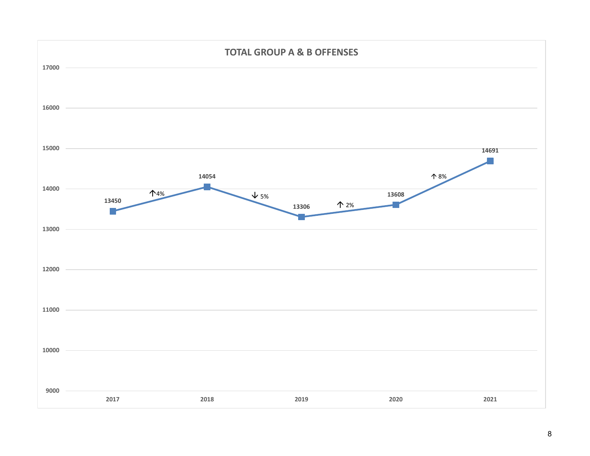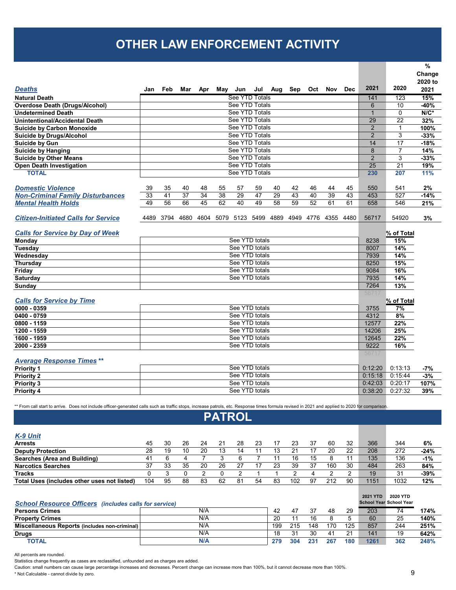## **OTHER LAW ENFORCEMENT ACTIVITY**

|                                                                                                                                                                                                |                |                |           |     |               |                |                |     |         |         |                     |            |                |                | $\%$    |
|------------------------------------------------------------------------------------------------------------------------------------------------------------------------------------------------|----------------|----------------|-----------|-----|---------------|----------------|----------------|-----|---------|---------|---------------------|------------|----------------|----------------|---------|
|                                                                                                                                                                                                |                |                |           |     |               |                |                |     |         |         |                     |            |                |                | Change  |
|                                                                                                                                                                                                |                |                |           |     |               |                |                |     |         |         |                     |            |                |                | 2020 to |
| <b>Deaths</b>                                                                                                                                                                                  | Jan            | Feb            | Mar       | Apr |               | May Jun        | Jul            | Aug | Sep     | Oct     | Nov                 | <b>Dec</b> | 2021           | 2020           | 2021    |
| <b>Natural Death</b>                                                                                                                                                                           |                |                |           |     |               | See YTD Totals |                |     |         |         |                     |            | 141            | 123            | 15%     |
| <b>Overdose Death (Drugs/Alcohol)</b>                                                                                                                                                          |                |                |           |     |               | See YTD Totals |                |     |         |         |                     |            | 6              | 10             | $-40%$  |
| <b>Undetermined Death</b>                                                                                                                                                                      |                |                |           |     |               | See YTD Totals |                |     |         |         |                     |            | $\mathbf{1}$   | $\mathbf 0$    | $N/C^*$ |
| <b>Unintentional/Accidental Death</b>                                                                                                                                                          |                |                |           |     |               | See YTD Totals |                |     |         |         |                     |            | 29             | 22             | 32%     |
| <b>Suicide by Carbon Monoxide</b>                                                                                                                                                              |                |                |           |     |               | See YTD Totals |                |     |         |         |                     |            | $\overline{2}$ | 1              | 100%    |
| <b>Suicide by Drugs/Alcohol</b>                                                                                                                                                                |                |                |           |     |               | See YTD Totals |                |     |         |         |                     |            | $\overline{2}$ | 3              | $-33%$  |
| Suicide by Gun                                                                                                                                                                                 |                |                |           |     |               | See YTD Totals |                |     |         |         |                     |            | 14             | 17             | $-18%$  |
| Suicide by Hanging                                                                                                                                                                             |                |                |           |     |               | See YTD Totals |                |     |         |         |                     |            | 8              | $\overline{7}$ | 14%     |
| <b>Suicide by Other Means</b>                                                                                                                                                                  |                |                |           |     |               | See YTD Totals |                |     |         |         |                     |            | $\overline{2}$ | 3              | $-33%$  |
| Open Death Investigation                                                                                                                                                                       |                |                |           |     |               | See YTD Totals |                |     |         |         |                     |            | 25             | 21             | 19%     |
| <b>TOTAL</b>                                                                                                                                                                                   |                | See YTD Totals |           |     |               |                |                |     |         |         |                     | 230        | 207            | 11%            |         |
|                                                                                                                                                                                                |                |                |           |     |               |                |                |     |         |         |                     |            |                |                |         |
| <b>Domestic Violence</b>                                                                                                                                                                       | 39             | 35             | 40        | 48  | 55            | 57             | 59             | 40  | 42      | 46      | 44                  | 45         | 550            | 541            | 2%      |
| <b>Non-Criminal Family Disturbances</b>                                                                                                                                                        | 33             | 41             | 37        | 34  | 38            | 29             | 47             | 29  | 43      | 40      | 39                  | 43         | 453            | 527            | $-14%$  |
| <b>Mental Health Holds</b>                                                                                                                                                                     | 49             | 56             | 66        | 45  | 62            | 40             | 49             | 58  | 59      | 52      | 61                  | 61         | 658            | 546            | 21%     |
|                                                                                                                                                                                                |                |                |           |     |               |                |                |     |         |         |                     |            |                |                |         |
| <b>Citizen-Initiated Calls for Service</b>                                                                                                                                                     | 4489           |                | 3794 4680 |     | 4604 5079     |                | 5123 5499 4889 |     |         |         | 4949 4776 4355 4480 |            | 56717          | 54920          | 3%      |
|                                                                                                                                                                                                |                |                |           |     |               |                |                |     |         |         |                     |            |                |                |         |
| <b>Calls for Service by Day of Week</b>                                                                                                                                                        |                |                |           |     |               |                |                |     |         |         |                     |            |                | % of Total     |         |
| Monday                                                                                                                                                                                         |                | See YTD totals |           |     |               |                |                |     |         |         | 8238                | 15%        |                |                |         |
| Tuesday                                                                                                                                                                                        |                | See YTD totals |           |     |               |                |                |     |         | 8007    | 14%                 |            |                |                |         |
| Wednesday                                                                                                                                                                                      |                |                |           |     |               | See YTD totals |                |     |         |         |                     |            | 7939           | 14%            |         |
| <b>Thursday</b>                                                                                                                                                                                |                |                |           |     |               | See YTD totals |                |     |         |         |                     |            | 8250           | 15%            |         |
| Friday                                                                                                                                                                                         |                |                |           |     |               | See YTD totals |                |     |         |         |                     |            | 9084           | 16%            |         |
| <b>Saturday</b>                                                                                                                                                                                |                |                |           |     |               | See YTD totals |                |     |         |         |                     |            | 7935           | 14%            |         |
| Sunday                                                                                                                                                                                         |                |                |           |     |               |                |                |     |         |         |                     |            | 7264           | 13%            |         |
|                                                                                                                                                                                                |                |                |           |     |               |                |                |     |         |         |                     |            | 56717          |                |         |
| <b>Calls for Service by Time</b>                                                                                                                                                               |                |                |           |     |               |                |                |     |         |         |                     |            |                | % of Total     |         |
| $0000 - 0359$                                                                                                                                                                                  |                |                |           |     |               | See YTD totals |                |     |         |         |                     |            | 3755           | 7%             |         |
| 0400 - 0759                                                                                                                                                                                    |                |                |           |     |               | See YTD totals |                |     |         |         |                     |            | 4312           | 8%             |         |
| 0800 - 1159                                                                                                                                                                                    |                |                |           |     |               | See YTD totals |                |     |         |         |                     |            | 12577          | 22%            |         |
| 1200 - 1559                                                                                                                                                                                    |                |                |           |     |               | See YTD totals |                |     |         |         |                     |            | 14206          | 25%            |         |
| 1600 - 1959                                                                                                                                                                                    |                |                |           |     |               | See YTD totals |                |     |         |         |                     |            | 12645          | 22%            |         |
| 2000 - 2359                                                                                                                                                                                    |                |                |           |     |               | See YTD totals |                |     |         |         |                     |            | 9222           | 16%            |         |
|                                                                                                                                                                                                |                |                |           |     |               |                |                |     |         |         |                     |            | 56717          |                |         |
| <b>Average Response Times**</b>                                                                                                                                                                |                |                |           |     |               |                |                |     |         |         |                     |            |                |                |         |
| <b>Priority 1</b>                                                                                                                                                                              |                |                |           |     |               | See YTD totals |                |     |         |         |                     |            | 0:12:20        | 0:13:13        | -7%     |
| <b>Priority 2</b>                                                                                                                                                                              |                |                |           |     |               | See YTD totals |                |     |         |         |                     |            | 0:15:18        | 0:15:44        | $-3%$   |
| <b>Priority 3</b>                                                                                                                                                                              | See YTD totals |                |           |     |               |                |                |     | 0.42:03 | 0:20:17 | 107%                |            |                |                |         |
| <b>Priority 4</b>                                                                                                                                                                              |                |                |           |     |               | See YTD totals |                |     |         |         |                     |            | 0:38:20        | 0:27:32        | 39%     |
|                                                                                                                                                                                                |                |                |           |     |               |                |                |     |         |         |                     |            |                |                |         |
| ** From call start to arrive. Does not include officer-generated calls such as traffic stops, increase patrols, etc. Response times formula revised in 2021 and applied to 2020 for comparison |                |                |           |     |               |                |                |     |         |         |                     |            |                |                |         |
|                                                                                                                                                                                                |                |                |           |     | <b>PATROL</b> |                |                |     |         |         |                     |            |                |                |         |
|                                                                                                                                                                                                |                |                |           |     |               |                |                |     |         |         |                     |            |                |                |         |
|                                                                                                                                                                                                |                |                |           |     |               |                |                |     |         |         |                     |            |                |                |         |
| $K_0$ Unit                                                                                                                                                                                     |                |                |           |     |               |                |                |     |         |         |                     |            |                |                |         |

| $\cdots$ $\cdots$                           |     |    |    |    |    |    |    |    |     |    |     |    |      |      |        |
|---------------------------------------------|-----|----|----|----|----|----|----|----|-----|----|-----|----|------|------|--------|
| <b>Arrests</b>                              | 45  | 30 | 26 | 24 | 21 | 28 | 23 |    | 23  | 37 | 60  | 32 | 366  | 344  | 6%     |
| <b>Deputy Protection</b>                    | 28  | 19 | 10 | 20 | 13 | 14 |    | 13 | 21  |    | 20  | 22 | 208  | 272  | $-24%$ |
| Searches (Area and Building)                | 41  |    |    |    |    |    |    |    | 16  | 15 |     |    | 135  | 136  | $-1%$  |
| <b>Narcotics Searches</b>                   | 37  | 33 | 35 | 20 | 26 | 27 |    | 23 | 39  | 37 | 160 | 30 | 484  | 263  | 84%    |
| <b>Tracks</b>                               |     |    |    |    |    |    |    |    |     |    |     |    | 19   | 31   | $-39%$ |
| Total Uses (includes other uses not listed) | 104 | 95 | 88 | 83 | 62 | 81 | 54 | 83 | 102 | 97 | 212 | 90 | 1151 | 1032 | 12%    |
|                                             |     |    |    |    |    |    |    |    |     |    |     |    |      |      |        |

| <b>School Resource Officers</b> (includes calls for service) |     |     |     |     |     |     | 2021 YTD | 2020 YTD<br><b>School Year School Year</b> |      |
|--------------------------------------------------------------|-----|-----|-----|-----|-----|-----|----------|--------------------------------------------|------|
| <b>Persons Crimes</b>                                        | N/A | 42  |     | 37  | 48  | 29  | 203      | 74                                         | 174% |
| <b>Property Crimes</b>                                       | N/A | 20  |     | 16  |     |     | 60       | 25                                         | 140% |
| Miscellaneous Reports (includes non-criminal)                | N/A | 199 | 215 | 148 | 170 | 125 | 857      | 244                                        | 251% |
| <b>Drugs</b>                                                 | N/A | 18  | 21  | 30  |     | 21  | 141      | 19                                         | 642% |
| TOTAL                                                        | N/A | 279 | 304 | 231 | 267 | 180 | 1261     | 362                                        | 248% |

All percents are rounded.

Statistics change frequently as cases are reclassified, unfounded and as charges are added.

Caution: small numbers can cause large percentage increases and decreases. Percent change can increase more than 100%, but it cannot decrease more than 100%.

\* Not Calculable - cannot divide by zero.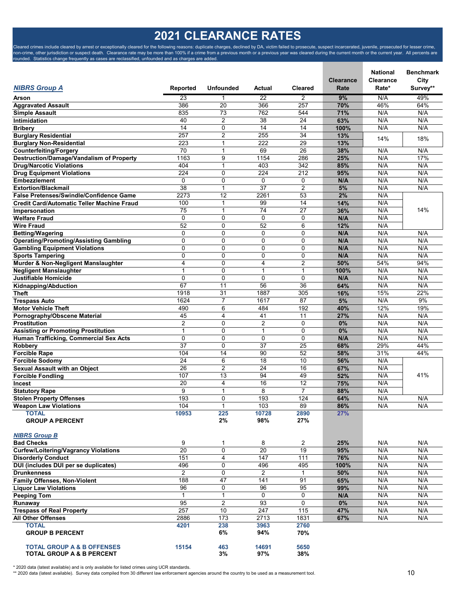## **2021 CLEARANCE RATES**

Cleared crimes include cleared by arrest or exceptionally cleared for the following reasons: duplicate charges, declined by DA, victim failed to prosecute, suspect incarcerated, juvenile, prosecuted for lesser crime, non-crime, other jurisdiction or suspect death. Clearance rate may be more than 100% if a crime from a previous month or a previous year was cleared during the current month or the current year. All percents are rounded. Statistics change frequently as cases are reclassified, unfounded and as charges are added.

| <b>NIBRS Group A</b>                                                     | Reported              | <b>Unfounded</b>    | Actual         | <b>Cleared</b>      | <b>Clearance</b><br>Rate | <b>National</b><br>Clearance<br>Rate* | <b>Benchmark</b><br>City<br>Survey** |
|--------------------------------------------------------------------------|-----------------------|---------------------|----------------|---------------------|--------------------------|---------------------------------------|--------------------------------------|
| Arson                                                                    | 23                    | 1                   | 22             | $\overline{2}$      | 9%                       | N/A                                   | 49%                                  |
| <b>Aggravated Assault</b>                                                | 386                   | 20                  | 366            | 257                 | 70%                      | 46%                                   | 64%                                  |
| <b>Simple Assault</b>                                                    | 835                   | 73                  | 762            | 544                 | 71%                      | N/A                                   | N/A                                  |
| Intimidation                                                             | 40                    | $\overline{2}$      | 38             | 24                  | 63%                      | N/A                                   | N/A                                  |
| <b>Bribery</b>                                                           | 14                    | 0                   | 14             | 14                  | 100%                     | N/A                                   | N/A                                  |
| <b>Burglary Residential</b>                                              | 257                   | 2                   | 255            | 34                  | 13%                      | 14%                                   | 18%                                  |
| <b>Burglary Non-Residential</b>                                          | 223                   | $\mathbf{1}$        | 222            | 29                  | 13%                      |                                       |                                      |
| <b>Counterfeiting/Forgery</b>                                            | 70                    | 1                   | 69             | 26                  | 38%                      | N/A                                   | N/A                                  |
| <b>Destruction/Damage/Vandalism of Property</b>                          | 1163                  | 9                   | 1154           | 286                 | 25%                      | N/A                                   | 17%                                  |
| <b>Drug/Narcotic Violations</b>                                          | 404                   | $\mathbf{1}$        | 403            | 342                 | 85%                      | N/A                                   | N/A                                  |
| <b>Drug Equipment Violations</b>                                         | 224                   | 0                   | 224            | 212                 | 95%                      | N/A                                   | N/A                                  |
| <b>Embezzlement</b>                                                      | 0                     | $\mathbf 0$         | 0              | 0                   | N/A                      | N/A                                   | N/A                                  |
| <b>Extortion/Blackmail</b>                                               | 38                    | $\mathbf{1}$        | 37             | $\overline{2}$      | 5%                       | N/A                                   | N/A                                  |
| False Pretenses/Swindle/Confidence Game                                  | 2273                  | 12                  | 2261           | 53                  | 2%                       | N/A                                   |                                      |
| <b>Credit Card/Automatic Teller Machine Fraud</b>                        | 100                   | 1                   | 99<br>74       | 14<br>27            | 14%                      | N/A                                   |                                      |
| Impersonation<br><b>Welfare Fraud</b>                                    | 75<br>$\Omega$        | 1<br>$\mathbf 0$    | $\Omega$       | $\mathbf 0$         | 36%<br>N/A               | N/A<br>N/A                            | 14%                                  |
| <b>Wire Fraud</b>                                                        | 52                    | $\mathbf 0$         | 52             | 6                   | 12%                      | N/A                                   |                                      |
|                                                                          | 0                     | $\mathbf 0$         | 0              | 0                   | N/A                      | N/A                                   | N/A                                  |
| <b>Betting/Wagering</b><br><b>Operating/Promoting/Assisting Gambling</b> | 0                     | $\mathbf 0$         | $\mathbf 0$    | 0                   | N/A                      | N/A                                   | N/A                                  |
| <b>Gambling Equipment Violations</b>                                     | 0                     | $\mathbf 0$         | $\Omega$       | $\mathbf 0$         | N/A                      | N/A                                   | N/A                                  |
| <b>Sports Tampering</b>                                                  | 0                     | $\mathbf 0$         | $\mathbf 0$    | 0                   | N/A                      | N/A                                   | N/A                                  |
| Murder & Non-Negligent Manslaughter                                      | 4                     | $\mathbf 0$         | 4              | $\overline{2}$      | 50%                      | 54%                                   | 94%                                  |
| <b>Negligent Manslaughter</b>                                            | $\mathbf 1$           | $\mathbf 0$         | $\overline{1}$ | $\mathbf{1}$        | 100%                     | N/A                                   | N/A                                  |
| Justifiable Homicide                                                     | 0                     | $\mathbf 0$         | $\mathbf 0$    | 0                   | N/A                      | N/A                                   | N/A                                  |
| Kidnapping/Abduction                                                     | 67                    | 11                  | 56             | 36                  | 64%                      | N/A                                   | N/A                                  |
| <b>Theft</b>                                                             | 1918                  | 31                  | 1887           | 305                 | 16%                      | 15%                                   | 22%                                  |
| <b>Trespass Auto</b>                                                     | 1624                  | $\overline{7}$      | 1617           | 87                  | 5%                       | N/A                                   | 9%                                   |
| <b>Motor Vehicle Theft</b>                                               | 490                   | 6                   | 484            | 192                 | 40%                      | 12%                                   | 19%                                  |
| Pornography/Obscene Material                                             | 45                    | 4                   | 41             | 11                  | 27%                      | N/A                                   | N/A                                  |
| Prostitution                                                             | 2                     | $\mathbf 0$         | $\overline{2}$ | 0                   | 0%                       | N/A                                   | N/A                                  |
| <b>Assisting or Promoting Prostitution</b>                               | $\mathbf{1}$          | $\mathbf 0$         | $\mathbf{1}$   | 0                   | 0%                       | N/A                                   | N/A                                  |
| Human Trafficking, Commercial Sex Acts                                   | $\Omega$              | 0                   | $\Omega$       | $\Omega$            | N/A                      | N/A                                   | N/A                                  |
| <b>Robbery</b>                                                           | 37                    | $\mathbf 0$         | 37             | 25                  | 68%                      | 29%                                   | 44%                                  |
| <b>Forcible Rape</b>                                                     | 104                   | 14                  | 90             | 52                  | 58%                      | 31%                                   | 44%                                  |
| <b>Forcible Sodomy</b>                                                   | 24                    | 6                   | 18             | 10                  | 56%                      | N/A                                   |                                      |
| <b>Sexual Assault with an Object</b>                                     | 26                    | 2                   | 24             | 16                  | 67%                      | N/A                                   |                                      |
| <b>Forcible Fondling</b>                                                 | 107                   | 13                  | 94             | 49                  | 52%                      | N/A                                   | 41%                                  |
| Incest                                                                   | 20                    | 4                   | 16             | 12                  | 75%                      | N/A                                   |                                      |
| <b>Statutory Rape</b>                                                    | 9                     | 1                   | 8              | $\overline{7}$      | 88%                      | N/A                                   |                                      |
| <b>Stolen Property Offenses</b>                                          | 193                   | 0                   | 193            | 124                 | 64%                      | N/A                                   | N/A                                  |
| <b>Weapon Law Violations</b><br><b>TOTAL</b>                             | 104<br>10953          | $\mathbf{1}$<br>225 | 103<br>10728   | 89<br>2890          | 86%<br>27%               | N/A                                   | N/A                                  |
| <b>GROUP A PERCENT</b>                                                   |                       | 2%                  | 98%            | 27%                 |                          |                                       |                                      |
| <b>NIBRS Group B</b>                                                     |                       |                     |                |                     |                          |                                       |                                      |
| <b>Bad Checks</b>                                                        | 9                     | 1                   | 8              | $\overline{2}$      | 25%                      | N/A                                   | N/A                                  |
| <b>Curfew/Loitering/Vagrancy Violations</b>                              | 20                    | 0                   | 20             | 19                  | 95%                      | N/A                                   | N/A                                  |
| <b>Disorderly Conduct</b>                                                | 151                   | 4                   | 147            | 111                 | 76%                      | N/A                                   | N/A                                  |
| DUI (includes DUI per se duplicates)                                     | 496<br>$\overline{2}$ | 0<br>$\mathbf 0$    | 496<br>2       | 495<br>$\mathbf{1}$ | 100%<br>50%              | N/A<br>N/A                            | N/A<br>N/A                           |
| <b>Drunkenness</b><br><b>Family Offenses, Non-Violent</b>                | 188                   | 47                  | 141            | 91                  | 65%                      | N/A                                   | N/A                                  |
| <b>Liquor Law Violations</b>                                             | 96                    | 0                   | 96             | 95                  | 99%                      | N/A                                   | N/A                                  |
| <b>Peeping Tom</b>                                                       | $\mathbf{1}$          | $\mathbf{1}$        | 0              | 0                   | N/A                      | N/A                                   | N/A                                  |
| Runaway                                                                  | 95                    | 2                   | 93             | 0                   | $0\%$                    | N/A                                   | N/A                                  |
| <b>Trespass of Real Property</b>                                         | 257                   | 10                  | 247            | 115                 | 47%                      | N/A                                   | N/A                                  |
| <b>All Other Offenses</b>                                                | 2886                  | 173                 | 2713           | 1831                | 67%                      | N/A                                   | N/A                                  |
| <b>TOTAL</b><br><b>GROUP B PERCENT</b>                                   | 4201                  | 238<br>6%           | 3963<br>94%    | 2760<br>70%         |                          |                                       |                                      |
| <b>TOTAL GROUP A &amp; B OFFENSES</b>                                    | 15154                 | 463                 | 14691          | 5650                |                          |                                       |                                      |

\* 2020 data (latest available) and is only available for listed crimes using UCR standards.<br>\*\* 2020 data (latest available). Survey data compiled from 30 different law enforcement agencies around the country to be used as

**TOTAL GROUP A & B PERCENT 3% 97% 38%**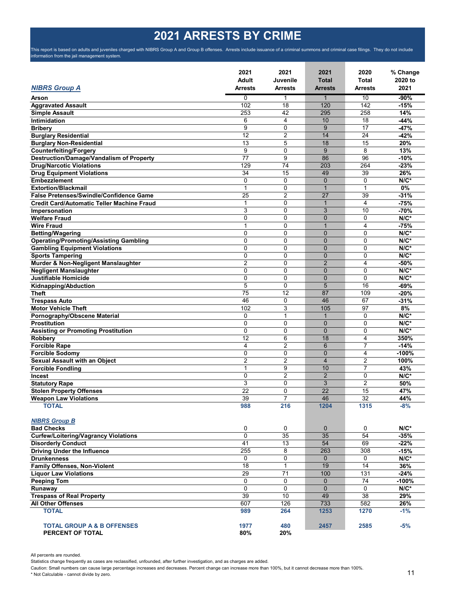# **2021 ARRESTS BY CRIME**

This report is based on adults and juveniles charged with NIBRS Group A and Group B offenses. Arrests include issuance of a criminal summons and criminal case filings. They do not include information from the jail management system.

|                                                     | 2021<br>Adult   | 2021<br>Juvenile | 2021<br>Total   | 2020<br>Total           | % Change<br>2020 to |
|-----------------------------------------------------|-----------------|------------------|-----------------|-------------------------|---------------------|
| <b>NIBRS Group A</b>                                | Arrests         | <b>Arrests</b>   | <b>Arrests</b>  | <b>Arrests</b>          | 2021                |
| Arson                                               | $\mathbf{0}$    | 1                | 1               | 10                      | $-90%$              |
| <b>Aggravated Assault</b>                           | 102             | 18               | 120             | 142                     | $-15%$              |
| <b>Simple Assault</b>                               | 253             | 42               | 295             | 258                     | 14%                 |
| Intimidation                                        | 6               | 4                | 10              | 18                      | $-44%$              |
| <b>Bribery</b>                                      | 9               | 0                | 9               | 17                      | $-47%$              |
| <b>Burglary Residential</b>                         | 12              | $\overline{2}$   | 14              | 24                      | $-42%$              |
| <b>Burglary Non-Residential</b>                     | 13              | 5                | 18              | 15                      | 20%                 |
| <b>Counterfeiting/Forgery</b>                       | 9               | 0                | 9               | 8                       | 13%                 |
| <b>Destruction/Damage/Vandalism of Property</b>     | 77              | 9                | 86              | 96                      | $-10%$              |
| <b>Drug/Narcotic Violations</b>                     | 129             | 74               | 203             | 264                     | $-23%$              |
| <b>Drug Equipment Violations</b>                    | 34              | 15               | 49              | 39                      | 26%                 |
| <b>Embezzlement</b>                                 | $\mathbf 0$     | $\Omega$         | $\mathbf{0}$    | 0                       | $N/C^*$             |
| <b>Extortion/Blackmail</b>                          | 1               | 0                | $\mathbf{1}$    | 1                       | 0%                  |
| False Pretenses/Swindle/Confidence Game             | 25              | 2                | 27              | 39                      | $-31%$              |
| <b>Credit Card/Automatic Teller Machine Fraud</b>   | 1               | 0                | $\mathbf{1}$    | 4                       | $-75%$              |
| Impersonation                                       | 3               | 0                | 3               | 10                      | $-70%$              |
| <b>Welfare Fraud</b>                                | $\mathbf 0$     | 0                | $\overline{0}$  | 0                       | $N/C^*$             |
| <b>Wire Fraud</b>                                   | 1               | 0                | 1               | $\overline{\mathbf{4}}$ | $-75%$              |
| <b>Betting/Wagering</b>                             | 0               | 0                | $\overline{0}$  | 0                       | $N/C^*$             |
| <b>Operating/Promoting/Assisting Gambling</b>       | $\mathbf 0$     | 0                | $\overline{0}$  | 0                       | $N/C^*$             |
| <b>Gambling Equipment Violations</b>                | $\Omega$        | 0                | $\overline{0}$  | $\mathbf{0}$            | $N/C^*$             |
| <b>Sports Tampering</b>                             | 0               | 0                | $\overline{0}$  | 0                       | $N/C^*$             |
| Murder & Non-Negligent Manslaughter                 | 2               | 0                | $\overline{2}$  | 4                       | $-50%$              |
| <b>Negligent Manslaughter</b>                       | $\mathbf 0$     | 0                | $\overline{0}$  | $\mathbf 0$             | $N/C^*$             |
| Justifiable Homicide                                | $\mathbf 0$     | 0                | $\mathbf{0}$    | 0                       | $N/C^*$             |
| Kidnapping/Abduction                                | 5               | 0                | 5               | 16                      | $-69%$              |
| <b>Theft</b>                                        | 75              | 12               | 87              | 109                     | $-20%$              |
| <b>Trespass Auto</b>                                | 46              | 0                | 46              | 67                      | $-31%$              |
| <b>Motor Vehicle Theft</b>                          | 102             | 3                | 105             | 97                      | 8%                  |
|                                                     | $\mathbf 0$     | 1                | 1               | $\Omega$                | $N/C^*$             |
| Pornography/Obscene Material<br><b>Prostitution</b> | $\mathbf 0$     | 0                | $\overline{0}$  | $\Omega$                | $N/C^*$             |
|                                                     | $\mathbf 0$     | 0                | $\Omega$        | 0                       | $N/C^*$             |
| <b>Assisting or Promoting Prostitution</b>          | 12              | 6                | 18              | $\overline{4}$          | 350%                |
| Robbery                                             | 4               | $\overline{2}$   | 6               | $\overline{7}$          | $-14%$              |
| <b>Forcible Rape</b>                                |                 |                  | $\Omega$        |                         |                     |
| <b>Forcible Sodomy</b>                              | 0               | 0                |                 | 4                       | $-100%$             |
| Sexual Assault with an Object                       | 2               | $\overline{2}$   | $\overline{4}$  | $\overline{2}$          | 100%                |
| <b>Forcible Fondling</b>                            | 1               | 9                | 10              | 7                       | 43%                 |
| Incest                                              | 0               | 2                | $\overline{2}$  | 0                       | $N/C^*$             |
| <b>Statutory Rape</b>                               | 3               | 0                | 3               | $\overline{2}$          | 50%                 |
| <b>Stolen Property Offenses</b>                     | 22              | 0                | 22              | 15                      | 47%                 |
| <b>Weapon Law Violations</b>                        | 39              | 7                | 46              | $\overline{32}$         | 44%                 |
| <b>TOTAL</b>                                        | 988             | 216              | 1204            | 1315                    | $-8%$               |
| <b>NIBRS Group B</b>                                |                 |                  |                 |                         |                     |
| <b>Bad Checks</b>                                   | 0               | 0                | $\mathbf 0$     | 0                       | $N/C^*$             |
| <b>Curfew/Loitering/Vagrancy Violations</b>         | $\overline{0}$  | 35               | $\overline{35}$ | 54                      | $-35%$              |
| <b>Disorderly Conduct</b>                           | 41              | 13               | 54              | 69                      | $-22%$              |
| <b>Driving Under the Influence</b>                  | 255             | 8                | 263             | 308                     | $-15%$              |
| <b>Drunkenness</b>                                  | $\Omega$        | 0                | $\overline{0}$  | $\mathbf 0$             | $N/C^*$             |
| Family Offenses, Non-Violent                        | 18              | $\mathbf{1}$     | 19              | 14                      | 36%                 |
| <b>Liquor Law Violations</b>                        | $\overline{29}$ | 71               | 100             | $\overline{131}$        | $-24%$              |
| <b>Peeping Tom</b>                                  | $\mathbf 0$     | 0                | $\overline{0}$  | 74                      | $-100%$             |
| Runaway                                             | $\mathbf 0$     | 0                | $\mathbf{0}$    | $\mathbf 0$             | $N/C^*$             |
| <b>Trespass of Real Property</b>                    | 39              | 10               | 49              | 38                      | 29%                 |
| <b>All Other Offenses</b>                           | 607             | 126              | 733             | 582                     | 26%                 |
| <b>TOTAL</b>                                        | 989             | 264              | 1253            | 1270                    | $-1%$               |
| <b>TOTAL GROUP A &amp; B OFFENSES</b>               | 1977            | 480              | 2457            | 2585                    | -5%                 |
| PERCENT OF TOTAL                                    | 80%             | 20%              |                 |                         |                     |

All percents are rounded.

Statistics change frequently as cases are reclassified, unfounded, after further investigation, and as charges are added.

Caution: Small numbers can cause large percentage increases and decreases. Percent change can increase more than 100%, but it cannot decrease more than 100%.

\* Not Calculable - cannot divide by zero.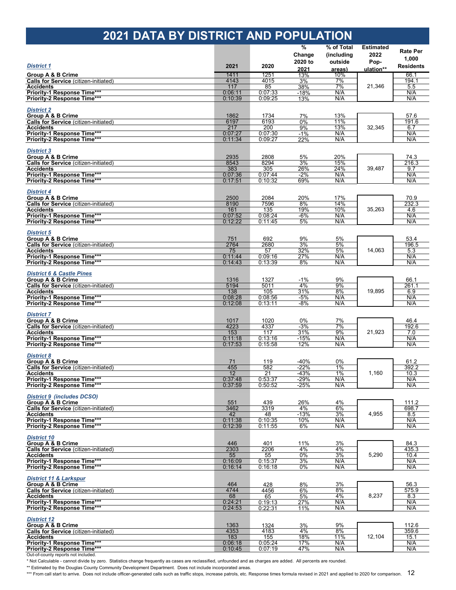## **2021 DATA BY DISTRICT AND POPULATION**

|                                                                              |                    |                    | $\frac{9}{6}$ | % of Total | <b>Estimated</b> |                  |
|------------------------------------------------------------------------------|--------------------|--------------------|---------------|------------|------------------|------------------|
|                                                                              |                    |                    | Change        | (including | 2022             | <b>Rate Per</b>  |
|                                                                              |                    |                    | 2020 to       | outside    | Pop-             | 1,000            |
| <b>District 1</b>                                                            | 2021               | 2020               | 2021          | areas)     | ulation**        | <b>Residents</b> |
| Group A & B Crime                                                            | 1411               | 1251               | 13%           | 10%        |                  | 66.1             |
| <b>Calls for Service</b> (citizen-initiated)                                 | 4143               | 4015               | 3%            | 7%         |                  | 194.1            |
| <b>Accidents</b>                                                             | 117                | 85                 | 38%           | 7%         | 21,346           | 5.5              |
| Priority-1 Response Time***                                                  | 0:06:11            | 0:07:33            | $-18%$        | N/A        |                  | N/A              |
| Priority-2 Response Time***                                                  | 0:10:39            | 0:09:25            | 13%           | N/A        |                  | N/A              |
| <b>District 2</b>                                                            |                    |                    |               |            |                  |                  |
| Group A & B Crime                                                            | 1862               | 1734               | 7%            | 13%        |                  | 57.6             |
| <b>Calls for Service (citizen-initiated)</b>                                 | 6197               | 6193               | 0%            | 11%        |                  | 191.6            |
| <b>Accidents</b>                                                             | 217                | 200                | 9%            | 13%        | 32,345           | 6.7              |
| Priority-1 Response Time***                                                  | 0:07:27            | 0:07:30            | $-1%$         | N/A        |                  | N/A              |
| Priority-2 Response Time***                                                  | 0:11:34            | 0:09:27            | 22%           | N/A        |                  | N/A              |
|                                                                              |                    |                    |               |            |                  |                  |
| <b>District 3</b>                                                            |                    |                    |               |            |                  |                  |
| Group A & B Crime                                                            | 2935               | 2808               | 5%            | 20%        |                  | 74.3             |
| <b>Calls for Service</b> (citizen-initiated)                                 | 8543               | 8294               | 3%            | 15%        |                  | 216.3            |
| <b>Accidents</b>                                                             | 383                | 305                | 26%           | 24%        | 39,487           | 9.7              |
| Priority-1 Response Time***<br>Priority-2 Response Time***                   | 0:07:36<br>0:17:51 | 0:07:44<br>0:10:32 | $-2%$<br>69%  | N/A<br>N/A |                  | N/A<br>N/A       |
|                                                                              |                    |                    |               |            |                  |                  |
| <b>District 4</b>                                                            |                    |                    |               |            |                  |                  |
| Group A & B Crime                                                            | 2500               | 2084               | 20%           | 17%        |                  | 70.9             |
| <b>Calls for Service</b> (citizen-initiated)                                 | 8190               | 7596               | 8%            | 14%        |                  | 232.3            |
| <b>Accidents</b>                                                             | 161                | 135                | 19%           | 10%        | 35,263           | 4.6              |
| Priority-1 Response Time***                                                  | 0:07:52            | 0:08:24            | $-6%$         | N/A        |                  | N/A              |
| Priority-2 Response Time***                                                  | 0:12:22            | 0:11:45            | 5%            | N/A        |                  | N/A              |
|                                                                              |                    |                    |               |            |                  |                  |
| <b>District 5</b>                                                            |                    |                    |               |            |                  |                  |
| Group A & B Crime                                                            | 751                | 692                | 9%            | 5%         |                  | 53.4             |
| <b>Calls for Service</b> (citizen-initiated)                                 | 2764               | 2680               | 3%            | 5%         |                  | 196.5            |
| <b>Accidents</b><br>Priority-1 Response Time***                              | 75<br>0:11:44      | 57<br>0:09:16      | 32%<br>27%    | 5%<br>N/A  | 14,063<br>19,895 | 5.3<br>N/A       |
| Priority-2 Response Time***                                                  | 0:14:43            | 0:13:39            | 8%            | N/A        |                  | N/A              |
|                                                                              |                    |                    |               |            |                  |                  |
| <b>District 6 &amp; Castle Pines</b>                                         |                    |                    |               |            |                  |                  |
| Group A & B Crime                                                            | 1316               | 1327               | $-1%$         | 9%         |                  | 66.1             |
| <b>Calls for Service</b> (citizen-initiated)                                 | 5194               | 5011               | 4%            | 9%         |                  | 261.1            |
| <b>Accidents</b>                                                             | 138                | 105                | 31%           | 8%         |                  | 6.9              |
| <b>Priority-1 Response Time***</b>                                           | 0:08:28            | 0:08:56            | $-5%$         | N/A        |                  | N/A              |
| Priority-2 Response Time***                                                  | 0:12:08            | 0:13:11            | $-8%$         | N/A        |                  | N/A              |
|                                                                              |                    |                    |               |            |                  |                  |
| <b>District 7</b>                                                            |                    |                    | 0%            |            |                  |                  |
| <b>Group A &amp; B Crime</b><br><b>Calls for Service</b> (citizen-initiated) | 1017<br>4223       | 1020<br>4337       | $-3%$         | 7%<br>7%   |                  | 46.4<br>192.6    |
| <b>Accidents</b>                                                             | 153                | 117                | 31%           | 9%         | 21,923           | 7.0              |
| Priority-1 Response Time***                                                  | 0:11:18            | 0:13:16            | $-15%$        | N/A        |                  | N/A              |
| Priority-2 Response Time***                                                  | 0:17:53            | 0:15:58            | 12%           | N/A        |                  | N/A              |
|                                                                              |                    |                    |               |            |                  |                  |
| <b>District 8</b>                                                            |                    |                    |               |            |                  |                  |
| Group A & B Crime                                                            | 71                 | 119                | $-40%$        | 0%         |                  | 61.2             |
| <b>Calls for Service</b> (citizen-initiated)                                 | 455                | 582                | $-22%$        | 1%         |                  | 392.2            |
| <b>Accidents</b>                                                             | 12                 | 21                 | $-43%$        | 1%         | 1,160            | 10.3             |
| <b>Priority-1 Response Time***</b>                                           | 0:37:48            | 0:53:37            | -29%          | N/A        |                  | N/A              |
| Priority-2 Response Time***                                                  | 0:37:59            | 0:50:52            | $-25%$        | N/A        |                  | N/A              |
| <b>District 9 (includes DCSO)</b>                                            |                    |                    |               |            |                  |                  |
| <b>Group A &amp; B Crime</b>                                                 | 551                | 439                | 26%           | 4%         |                  | 111.2            |
| <b>Calls for Service</b> (citizen-initiated)                                 | 3462               | 3319               | 4%            | 6%         |                  | 698.7            |
| <b>Accidents</b>                                                             | 42                 | 48                 | $-13%$        | 3%         | 4,955            | 8.5              |
| Priority-1 Response Time***                                                  | 0:11:38            | 0:10:35            | 10%           | N/A        |                  | N/A              |
| Priority-2 Response Time***                                                  | 0:12:39            | 0:11:55            | 6%            | N/A        |                  | N/A              |
|                                                                              |                    |                    |               |            |                  |                  |
| <b>District 10</b>                                                           |                    |                    |               |            |                  |                  |
| Group A & B Crime<br><b>Calls for Service</b> (citizen-initiated)            | 446<br>2303        | 401<br>2206        | 11%<br>4%     | 3%<br>4%   |                  | 84.3<br>435.3    |
| <b>Accidents</b>                                                             | 55                 | 55                 | 0%            | 3%         | 5,290            | 10.4             |
| Priority-1 Response Time***                                                  | 0:16:09            | 0:15:37            | 3%            | N/A        |                  | N/A              |
| Priority-2 Response Time***                                                  | 0:16:14            | 0:16:18            | 0%            | N/A        |                  | N/A              |
|                                                                              |                    |                    |               |            |                  |                  |
| <b>District 11 &amp; Larkspur</b>                                            |                    |                    |               |            |                  |                  |
| Group A & B Crime                                                            | 464                | 428                | 8%            | 3%         |                  | 56.3             |
| <b>Calls for Service</b> (citizen-initiated)                                 | 4744               | 4456               | 6%            | 8%         |                  | 575.9            |
| <b>Accidents</b>                                                             | 68                 | 65                 | 5%            | 4%         | 8,237            | 8.3              |
| Priority-1 Response Time***                                                  | 0:24:21            | 0:19:13            | 27%           | N/A        |                  | N/A              |
| <b>Priority-2 Response Time***</b>                                           | 0:24:53            | 0:22:31            | 11%           | N/A        |                  | N/A              |
| <b>District 12</b>                                                           |                    |                    |               |            |                  |                  |
| Group A & B Crime                                                            | 1363               | 1324               | 3%            | 9%         |                  | 112.6            |
| <b>Calls for Service</b> (citizen-initiated)                                 | 4353               | 4183               | 4%            | 8%         |                  | 359.6            |
| <b>Accidents</b>                                                             | 183                | 155                | 18%           | 11%        | 12,104           | 15.1             |
| Priority-1 Response Time***                                                  | 0:06:18            | 0:05:24            | 17%           | N/A        |                  | N/A              |
| Priority-2 Response Time***                                                  | 0:10:45            | 0:07:19            | 47%           | N/A        |                  | N/A              |
|                                                                              |                    |                    |               |            |                  |                  |

Out-of-county reports not included.

\* Not Calculable - cannot divide by zero. Statistics change frequently as cases are reclassified, unfounded and as charges are added. All percents are rounded.

\*\* Estimated by the Douglas County Community Development Department. Does not include incorporated areas.

\*\*\* From call start to arrive. Does not include officer-generated calls such as traffic stops, increase patrols, etc. Response times formula revised in 2021 and applied to 2020 for comparison.  $\,$   $12$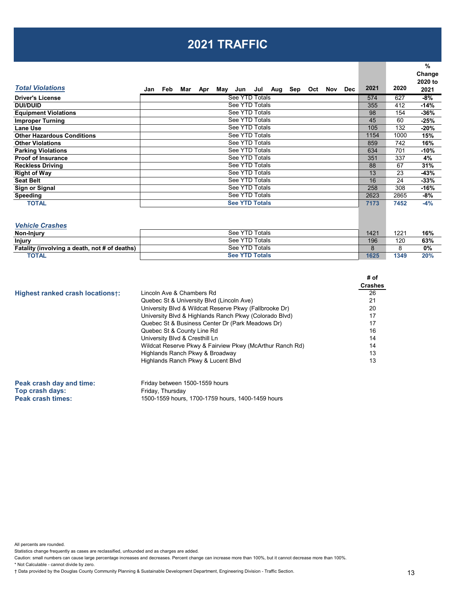### **2021 TRAFFIC**

| 2020<br>627<br>412<br>154 | 2020 to<br>2021<br>-8%<br>$-14%$<br>$-36%$ |
|---------------------------|--------------------------------------------|
|                           |                                            |
|                           |                                            |
|                           |                                            |
|                           |                                            |
|                           | $-25%$                                     |
| 132                       | -20%                                       |
| 1000                      | 15%                                        |
| 742                       | 16%                                        |
| 701                       | $-10%$                                     |
| 337                       | 4%                                         |
| 67                        | 31%                                        |
| 23                        | -43%                                       |
| 24                        | $-33%$                                     |
| 308                       | -16%                                       |
| 2865                      | -8%                                        |
| 7452                      | $-4%$                                      |
|                           | 60                                         |

*Vehicle Crashes*

| $\mathbf{v}$ chick of usings                  |                       |      |      |     |
|-----------------------------------------------|-----------------------|------|------|-----|
| <b>Non-Injury</b>                             | See YTD Totals        | 1421 | 1221 | 16% |
| <b>Injury</b>                                 | See YTD Totals        | 196  | 120  | 63% |
| Fatality (involving a death, not # of deaths) | See YTD Totals        |      |      | 0%  |
| <b>TOTAL</b>                                  | <b>See YTD Totals</b> | 1625 | 1349 | 20% |

|                                  |                                                          | <b>Crashes</b> |
|----------------------------------|----------------------------------------------------------|----------------|
| Highest ranked crash locations+: | Lincoln Ave & Chambers Rd                                | 26             |
|                                  | Quebec St & University Blvd (Lincoln Ave)                | 21             |
|                                  | University Blvd & Wildcat Reserve Pkwy (Fallbrooke Dr)   | 20             |
|                                  | University Blvd & Highlands Ranch Pkwy (Colorado Blvd)   | 17             |
|                                  | Quebec St & Business Center Dr (Park Meadows Dr)         | 17             |
|                                  | Quebec St & County Line Rd                               | 16             |
|                                  | University Blvd & Cresthill Ln                           | 14             |
|                                  | Wildcat Reserve Pkwy & Fairview Pkwy (McArthur Ranch Rd) | 14             |
|                                  | Highlands Ranch Pkwy & Broadway                          | 13             |
|                                  | Highlands Ranch Pkwy & Lucent Blvd                       | 13             |

**Peak crash day and time:** Friday between 1500-1559 hours<br> **Top crash days:** Friday, Thursday **Top crash days:**<br>**Peak crash times: Peak crash times:** 1500-1559 hours, 1700-1759 hours, 1400-1459 hours

All percents are rounded.

Statistics change frequently as cases are reclassified, unfounded and as charges are added.

Caution: small numbers can cause large percentage increases and decreases. Percent change can increase more than 100%, but it cannot decrease more than 100%.

\* Not Calculable - cannot divide by zero.

† Data provided by the Douglas County Community Planning & Sustainable Development Department, Engineering Division - Traffic Section.

**# of**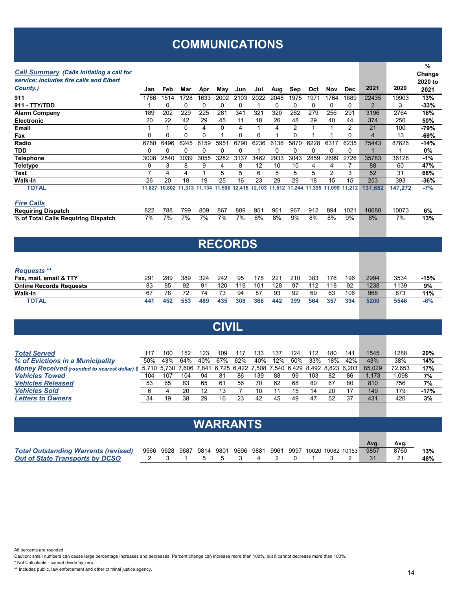### **COMMUNICATIONS**

#### *Call Summary (Calls initiating a call for*

| <b>Call Summary (Calls initiating a call for</b> |          |      |          |          |      |          |      |      |                                                                       |      |      |            |         |         | Change  |
|--------------------------------------------------|----------|------|----------|----------|------|----------|------|------|-----------------------------------------------------------------------|------|------|------------|---------|---------|---------|
| service; includes fire calls and Elbert          |          |      |          |          |      |          |      |      |                                                                       |      |      |            |         |         | 2020 to |
| County.)                                         | Jan      | Feb  | Mar      | Apr      | May  | Jun      | Jul  | Aug  | Sep                                                                   | Oct  | Nov  | <b>Dec</b> | 2021    | 2020    | 2021    |
| 911                                              | 1786     | 1514 | 1728     | 1633     | 2002 | 2103     | 2022 | 2048 | 1975                                                                  | 1971 | 1764 | 1889       | 22435   | 19903   | 13%     |
| 911 - TTY/TDD                                    |          | 0    | 0        | 0        | 0    | 0        |      | 0    | 0                                                                     | 0    | 0    |            | 2       | 3       | -33%    |
| <b>Alarm Company</b>                             | 189      | 202  | 229      | 225      | 281  | 341      | 321  | 320  | 262                                                                   | 279  | 256  | 291        | 3196    | 2764    | 16%     |
| <b>Electronic</b>                                | 20       | 22   | 42       | 29       | 45   | 11       | 18   | 26   | 48                                                                    | 29   | 40   | 44         | 374     | 250     | 50%     |
| Email                                            |          |      | 0        | 4        | 0    | 4        |      | 4    | 2                                                                     |      |      | 2          | 21      | 100     | -79%    |
| Fax                                              | $\Omega$ | 0    | $\Omega$ | $\Omega$ |      | $\Omega$ |      |      | 0                                                                     |      |      | 0          | 4       | 13      | -69%    |
| Radio                                            | 6780     | 6496 | 6245     | 6159     | 5951 | 6790     | 6236 | 6136 | 5870                                                                  | 6228 | 6317 | 6235       | 75443   | 87626   | -14%    |
| TDD                                              | 0        | 0    | 0        | 0        | 0    | 0        |      | 0    | 0                                                                     | 0    | 0    |            |         |         | 0%      |
| Telephone                                        | 3008     | 2540 | 3039     | 3055     | 3282 | 3137     | 3462 | 2933 | 3043                                                                  | 2859 | 2699 | 2726       | 35783   | 36128   | -1%     |
| <b>Teletype</b>                                  | 9        | 3    | 8        | 9        | 4    | 8        | 12   | 10   | 10                                                                    | 4    | 4    |            | 88      | 60      | 47%     |
| Text                                             |          | 4    | 4        |          | 5    | 5        | 6    | 5    | 5                                                                     | 5    | 2    | 3          | 52      | 31      | 68%     |
| <b>Walk-in</b>                                   | 26       | 20   | 18       | 19       | 25   | 16       | 23   | 29   | 29                                                                    | 18   | 15   | 15         | 253     | 393     | -36%    |
| <b>TOTAL</b>                                     | 11,827   |      |          |          |      |          |      |      | 10,802 11,313 11,134 11,596 12,415 12,103 11,512 11,244 11,395 11,099 |      |      | 11,212     | 137.652 | 147,272 | $-7%$   |
|                                                  |          |      |          |          |      |          |      |      |                                                                       |      |      |            |         |         |         |
| <b>Fire Calls</b>                                |          |      |          |          |      |          |      |      |                                                                       |      |      |            |         |         |         |
| <b>Requiring Dispatch</b>                        | 822      | 788  | 799      | 809      | 867  | 889      | 951  | 961  | 967                                                                   | 912  | 894  | 1021       | 10680   | 10073   | 6%      |
| % of Total Calls Requiring Dispatch              | 7%       | 7%   | 7%       | 7%       | 7%   | 7%       | 8%   | 8%   | 9%                                                                    | 8%   | 8%   | 9%         | 8%      | 7%      | 13%     |

#### **RECORDS**

| <b>Requests</b> **             |     |     |     |     |     |     |     |     |     |     |     |     |      |      |        |
|--------------------------------|-----|-----|-----|-----|-----|-----|-----|-----|-----|-----|-----|-----|------|------|--------|
| Fax, mail, email & TTY         | 291 | 289 | 389 | 324 | 242 | 95  | 178 | 221 | 210 | 383 | 176 | 196 | 2994 | 3534 | $-15%$ |
| <b>Online Records Requests</b> | 83  | 85  | 92  | 91  | 120 | 119 | 101 | 128 | 97  | 112 | 118 | 92  | 1238 | 1139 | 9%     |
| Walk-in                        | 67  | 78  | 72  | 74  | 73  | 94  | 87  | 93  | 92  | 69  | 63  | 106 | 968  | 873  | 11%    |
| <b>TOTAL</b>                   | 441 | 452 | 553 | 489 | 435 | 308 | 366 | 442 | 399 | 564 | 357 | 394 | 5200 | 5546 | $-6%$  |

#### **CIVIL**

| <b>Total Served</b>                                                                                                   | 117 | 100 | 152 | 123 | 109 |     | 133 | 137 | 124 | 112 | 18C | 14 <sup>′</sup> | 1545   | 1288   | 20%    |
|-----------------------------------------------------------------------------------------------------------------------|-----|-----|-----|-----|-----|-----|-----|-----|-----|-----|-----|-----------------|--------|--------|--------|
| % of Evictions in a Municipality                                                                                      | 50% | 43% | 64% | 40% | 67% | 62% | 40% | 12% | 50% | 33% | 18% | 42%             | 43%    | 38%    | 14%    |
| Money Received (rounded to nearest dollar) \$ 5,710 5,730 7,606 7,841 6,725 6,422 7,508 7,540 6,429 8,492 8,823 6,203 |     |     |     |     |     |     |     |     |     |     |     |                 | 85.029 | 72.653 | 17%    |
| <b>Vehicles Towed</b>                                                                                                 | 104 | 107 | 104 | 94  | 81  | 86  | 139 | 88  | 99  | 103 | 82  | 86              | .173   | .098   | 7%     |
| <b>Vehicles Released</b>                                                                                              | 53  | 65  | 83  | 65  | 61  | 56  | 70  | 62  | 68  | 80  | 67  | 80              | 810    | 756    | 7%     |
| <b>Vehicles Sold</b>                                                                                                  |     |     | 20  |     | 13  |     |     |     | 15  | 14  | 20  | -17             | 149    | 179    | $-17%$ |
| <b>Letters to Owners</b>                                                                                              | 34  | 19  | 38  | 29  | 16  | 23  | 42  | 45  | 49  | 47  | 52  | 37              | 431    | 420    | 3%     |

### **WARRANTS**

|                                             |  |                |             |           |      |                         |  | Ava. | Ava. |     |
|---------------------------------------------|--|----------------|-------------|-----------|------|-------------------------|--|------|------|-----|
| <b>Total Outstanding Warrants (revised)</b> |  | 9566 9628 9687 | . 9814 9801 | 9696 9881 | 9961 | 9997 10020 10082 10153  |  | 9857 | 8760 | 13% |
| <b>Out of State Transports by DCSO</b>      |  |                |             |           |      | 2 3 1 5 5 3 4 2 0 1 3 2 |  | 31   |      | 48% |

All percents are rounded.

Caution: small numbers can cause large percentage increases and decreases. Percent change can increase more than 100%, but it cannot decrease more than 100%.

\* Not Calculable - cannot divide by zero.

\*\* Includes public, law enforcement and other criminal justice agency.

**%**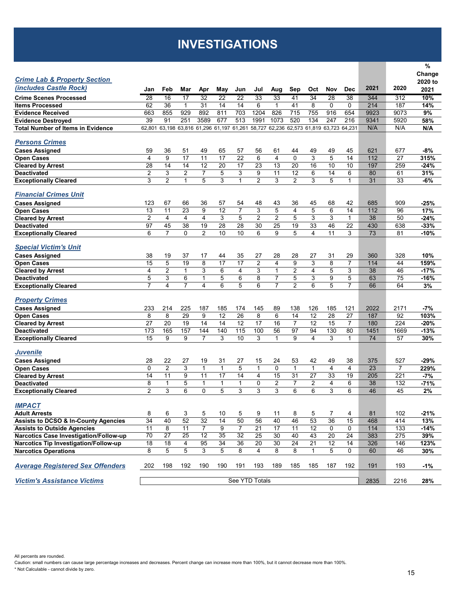## **INVESTIGATIONS**

|                                                 |                 |                 |                 |                 |                                    |                 |                 |                |                                           |                |                |                |      |                | %       |
|-------------------------------------------------|-----------------|-----------------|-----------------|-----------------|------------------------------------|-----------------|-----------------|----------------|-------------------------------------------|----------------|----------------|----------------|------|----------------|---------|
|                                                 |                 |                 |                 |                 |                                    |                 |                 |                |                                           |                |                |                |      |                | Change  |
| <b>Crime Lab &amp; Property Section</b>         |                 |                 |                 |                 |                                    |                 |                 |                |                                           |                |                |                |      |                | 2020 to |
| (includes Castle Rock)                          | Jan             | Feb             | Mar             | Apr             | May                                | Jun             | Jul             | Aug            | Sep                                       | Oct            | Nov            | <b>Dec</b>     | 2021 | 2020           | 2021    |
| <b>Crime Scenes Processed</b>                   | 28              | 16              | 17              | 32              | $\overline{22}$                    | $\overline{22}$ | 33              | 33             | 41                                        | 34             | 28             | 38             | 344  | 312            | 10%     |
| <b>Items Processed</b>                          | 62              | 36              | $\mathbf{1}$    | 31              | 14                                 | 14              | 6               | $\mathbf{1}$   | 41                                        | 8              | $\Omega$       | $\mathbf{0}$   | 214  | 187            | 14%     |
| <b>Evidence Received</b>                        | 663             | 855             | 929             | 892             | 811                                | 703             | 1204            | 826            | 715                                       | 755            | 916            | 654            | 9923 | 9073           | 9%      |
| <b>Evidence Destroyed</b>                       | 39              | 91              | 251             | 3589            | 677                                | 513             | 1991            | 1073           | 520                                       | 134            | 247            | 216            | 9341 | 5920           | 58%     |
| <b>Total Number of Items in Evidence</b>        | 62.801          |                 |                 |                 | 63,198 63,816 61,296 61,197 61,261 |                 |                 |                | 58,727 62,236 62,573 61,819 63,723 64,231 |                |                |                | N/A  | N/A            | N/A     |
|                                                 |                 |                 |                 |                 |                                    |                 |                 |                |                                           |                |                |                |      |                |         |
| <b>Persons Crimes</b>                           |                 |                 |                 |                 |                                    |                 |                 |                |                                           |                |                |                |      |                |         |
| <b>Cases Assigned</b>                           | 59              | 36              | 51              | 49              | 65                                 | 57              | 56              | 61             | 44                                        | 49             | 49             | 45             | 621  | 677            | -8%     |
| <b>Open Cases</b>                               | 4               | 9               | 17              | 11              | 17                                 | 22              | 6               | 4              | $\Omega$                                  | 3              | 5              | 14             | 112  | 27             | 315%    |
| <b>Cleared by Arrest</b>                        | 28              | 14              | 14              | 12              | 20                                 | 17              | 23              | 13             | 20                                        | 16             | 10             | 10             | 197  | 259            | $-24%$  |
| <b>Deactivated</b>                              | $\overline{2}$  | 3               | 2               | $\overline{7}$  | 5                                  | 3               | 9               | 11             | 12                                        | 6              | 14             | 6              | 80   | 61             | 31%     |
| <b>Exceptionally Cleared</b>                    | 3               | $\overline{2}$  | $\mathbf{1}$    | 5               | 3                                  | $\mathbf{1}$    | $\overline{2}$  | 3              | $\overline{2}$                            | 3              | 5              | $\mathbf 1$    | 31   | 33             | $-6%$   |
|                                                 |                 |                 |                 |                 |                                    |                 |                 |                |                                           |                |                |                |      |                |         |
| <b>Financial Crimes Unit</b>                    |                 |                 |                 |                 |                                    |                 |                 |                |                                           |                |                |                |      |                |         |
| <b>Cases Assigned</b>                           | 123             | 67              | 66              | 36              | 57                                 | 54              | 48              | 43             | 36                                        | 45             | 68             | 42             | 685  | 909            | $-25%$  |
| <b>Open Cases</b>                               | 13              | 11              | 23              | 9               | 12                                 | $\overline{7}$  | 3               | 5              | $\overline{4}$                            | 5              | 6              | 14             | 112  | 96             | 17%     |
| <b>Cleared by Arrest</b>                        | $\overline{2}$  | $\overline{4}$  | 4               | $\overline{4}$  | 3                                  | 5               | 2               | 2              | 5                                         | 3              | 3              | $\mathbf{1}$   | 38   | 50             | $-24%$  |
| <b>Deactivated</b>                              | 97              | 45              | 38              | 19              | 28                                 | 28              | 30              | 25             | 19                                        | 33             | 46             | 22             | 430  | 638            | $-33%$  |
| <b>Exceptionally Cleared</b>                    | 6               | $\overline{7}$  | 0               | $\overline{2}$  | 10                                 | 10              | 6               | 9              | 5                                         | $\overline{4}$ | 11             | 3              | 73   | 81             | $-10%$  |
|                                                 |                 |                 |                 |                 |                                    |                 |                 |                |                                           |                |                |                |      |                |         |
| <b>Special Victim's Unit</b>                    |                 |                 |                 |                 |                                    |                 |                 |                |                                           |                |                |                |      |                |         |
| <b>Cases Assigned</b>                           | 38              | 19              | 37              | 17              | 44                                 | 35              | 27              | 28             | 28                                        | 27             | 31             | 29             | 360  | 328            | 10%     |
| <b>Open Cases</b>                               | 15              | 5               | 19              | 8               | 17                                 | 17              | $\overline{2}$  | 4              | 9                                         | 3              | 8              | $\overline{7}$ | 114  | 44             | 159%    |
| <b>Cleared by Arrest</b>                        | 4               | $\overline{2}$  | $\mathbf{1}$    | 3               | 6                                  | $\overline{4}$  | 3               | $\mathbf{1}$   | $\overline{2}$                            | 4              | 5              | 3              | 38   | 46             | $-17%$  |
| <b>Deactivated</b>                              | 5               | 3               | 6               | $\mathbf{1}$    | 5                                  | 6               | 8               | $\overline{7}$ | 5                                         | 3              | 9              | 5              | 63   | 75             | -16%    |
| <b>Exceptionally Cleared</b>                    | $\overline{7}$  | 4               | $\overline{7}$  | 4               | 6                                  | 5               | 6               | $\overline{7}$ | $\overline{2}$                            | 6              | 5              | $\overline{7}$ | 66   | 64             | 3%      |
|                                                 |                 |                 |                 |                 |                                    |                 |                 |                |                                           |                |                |                |      |                |         |
| <b>Property Crimes</b>                          |                 |                 |                 |                 |                                    |                 |                 |                |                                           |                |                |                |      |                |         |
| <b>Cases Assigned</b>                           | 233             | 214             | 225             | 187             | 185                                | 174             | 145             | 89             | 138                                       | 126            | 185            | 121            | 2022 | 2171           | -7%     |
| <b>Open Cases</b>                               | 8               | 8               | 29              | 9               | 12                                 | 26              | 8               | 6              | 14                                        | 12             | 28             | 27             | 187  | 92             | 103%    |
| <b>Cleared by Arrest</b>                        | 27              | 20              | 19              | 14              | 14                                 | 12              | 17              | 16             | 7                                         | 12             | 15             | $\overline{7}$ | 180  | 224            | $-20%$  |
| <b>Deactivated</b>                              | 173             | 165             | 157             | 144             | 140                                | 115             | 100             | 56             | 97                                        | 94             | 130            | 80             | 1451 | 1669           | $-13%$  |
| <b>Exceptionally Cleared</b>                    | 15              | 9               | 9               | $\overline{7}$  | 3                                  | 10              | 3               | $\mathbf{1}$   | 9                                         | $\overline{4}$ | 3              | $\mathbf 1$    | 74   | 57             | 30%     |
|                                                 |                 |                 |                 |                 |                                    |                 |                 |                |                                           |                |                |                |      |                |         |
| <b>Juvenile</b>                                 |                 |                 |                 |                 |                                    |                 |                 |                |                                           |                |                |                |      |                |         |
| <b>Cases Assigned</b>                           | 28              | 22              | 27              | 19              | 31                                 | 27              | 15              | 24             | 53                                        | 42             | 49             | 38             | 375  | 527            | -29%    |
| <b>Open Cases</b>                               | $\mathbf 0$     | $\overline{2}$  | 3               | $\mathbf{1}$    | $\mathbf{1}$                       | 5               | $\mathbf{1}$    | 0              | $\mathbf{1}$                              | $\mathbf{1}$   | 4              | 4              | 23   | $\overline{7}$ | 229%    |
| <b>Cleared by Arrest</b>                        | 14              | 11              | 9               | 11              | 17                                 | 14              | 4               | 15             | 31                                        | 27             | 33             | 19             | 205  | 221            | $-7%$   |
| <b>Deactivated</b>                              | 8               | $\mathbf{1}$    | 5               | $\mathbf{1}$    | $\mathbf{1}$                       | $\mathbf{1}$    | 0               | $\overline{2}$ | $\overline{7}$                            | $\overline{2}$ | 4              | 6              | 38   | 132            | $-71%$  |
| <b>Exceptionally Cleared</b>                    | $\overline{2}$  | 3               | 6               | $\Omega$        | 5                                  | 3               | 3               | 3              | 6                                         | 6              | 3              | 6              | 46   | 45             | 2%      |
|                                                 |                 |                 |                 |                 |                                    |                 |                 |                |                                           |                |                |                |      |                |         |
| <b>IMPACT</b>                                   |                 |                 |                 |                 |                                    |                 |                 |                |                                           |                |                |                |      |                |         |
| <b>Adult Arrests</b>                            | 8               | 6               | 3               | 5               | 10                                 | 5               | 9               | 11             | 8                                         | 5              | $\overline{7}$ | 4              | 81   | 102            | -21%    |
| <b>Assists to DCSO &amp; In-County Agencies</b> | 34              | 40              | 52              | 32              | 14                                 | 50              | 56              | 40             | 46                                        | 53             | 36             | 15             | 468  | 414            | 13%     |
| <b>Assists to Outside Agencies</b>              | 11              | 8               | 11              | $\overline{7}$  | 9                                  | $\overline{7}$  | $\overline{21}$ | 17             | 11                                        | 12             | 0              | 0              | 114  | 133            | $-14%$  |
| Narcotics Case Investigation/Follow-up          | $\overline{70}$ | $\overline{27}$ | $\overline{25}$ | $\overline{12}$ | 35                                 | 32              | 25              | 30             | 40                                        | 43             | 20             | 24             | 383  | 275            | 39%     |
| Narcotics Tip Investigation/Follow-up           | 18              | 18              | 4               | 95              | 34                                 | 36              | 20              | 30             | 24                                        | 21             | 12             | 14             | 326  | 146            | 123%    |
| <b>Narcotics Operations</b>                     | 8               | 5               | 5               | 3               | 5                                  | 8               | $\overline{4}$  | 8              | 8                                         | $\mathbf{1}$   | 5              | $\mathbf 0$    | 60   | 46             | 30%     |
|                                                 |                 |                 |                 |                 |                                    |                 |                 |                |                                           |                |                |                |      |                |         |
| <b>Average Registered Sex Offenders</b>         | 202             | 198             | 192             | 190             | 190                                | 191             | 193             | 189            | 185                                       | 185            | 187            | 192            | 191  | 193            | $-1%$   |
|                                                 |                 |                 |                 |                 |                                    |                 |                 |                |                                           |                |                |                |      |                |         |
| <b>Victim's Assistance Victims</b>              |                 |                 |                 |                 |                                    |                 | See YTD Totals  |                |                                           |                |                |                | 2835 | 2216           | 28%     |

All percents are rounded. Caution: small numbers can cause large percentage increases and decreases. Percent change can increase more than 100%, but it cannot decrease more than 100%. \* Not Calculable - cannot divide by zero.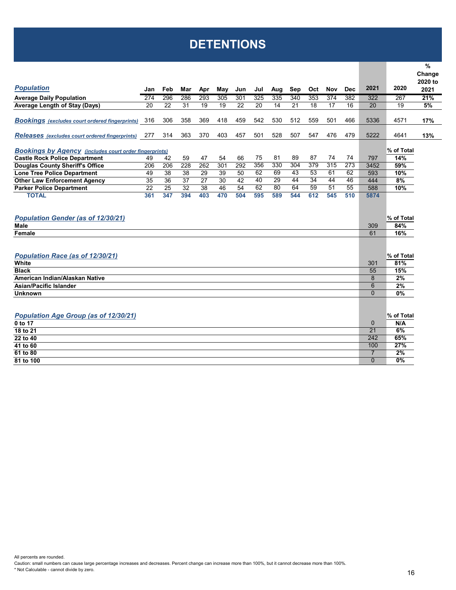## **DETENTIONS**

|                                                               |     |     |     |     |     |     |     |     |     |                  |                  |            |                 |            | $\%$<br>Change |
|---------------------------------------------------------------|-----|-----|-----|-----|-----|-----|-----|-----|-----|------------------|------------------|------------|-----------------|------------|----------------|
|                                                               |     |     |     |     |     |     |     |     |     |                  |                  |            |                 |            | 2020 to        |
| <b>Population</b>                                             | Jan | Feb | Mar | Apr | May | Jun | Jul | Aug | Sep | Oct              | <b>Nov</b>       | <b>Dec</b> | 2021            | 2020       | 2021           |
| <b>Average Daily Population</b>                               | 274 | 296 | 286 | 293 | 305 | 301 | 325 | 335 | 340 | 353              | 374              | 382        | 322             | 267        | 21%            |
| <b>Average Length of Stay (Days)</b>                          | 20  | 22  | 31  | 19  | 19  | 22  | 20  | 14  | 21  | 18               | 17               | 16         | 20              | 19         | 5%             |
|                                                               |     |     |     |     |     |     |     |     |     |                  |                  |            |                 |            |                |
| <b>Bookings</b> (excludes court ordered fingerprints)         | 316 | 306 | 358 | 369 | 418 | 459 | 542 | 530 | 512 | 559              | 501              | 466        | 5336            | 4571       | 17%            |
| <b>Releases</b> (excludes court ordered fingerprints)         | 277 | 314 | 363 | 370 | 403 | 457 | 501 | 528 | 507 | 547              | 476              | 479        | 5222            | 4641       | 13%            |
| <b>Bookings by Agency (includes court order fingerprints)</b> |     |     |     |     |     |     |     |     |     |                  |                  |            |                 | % of Total |                |
| <b>Castle Rock Police Department</b>                          | 49  | 42  | 59  | 47  | 54  | 66  | 75  | 81  | 89  | 87               | 74               | 74         | 797             | 14%        |                |
| <b>Douglas County Sheriff's Office</b>                        | 206 | 206 | 228 | 262 | 301 | 292 | 356 | 330 | 304 | $\overline{379}$ | $\overline{315}$ | 273        | 3452            | 59%        |                |
| <b>Lone Tree Police Department</b>                            | 49  | 38  | 38  | 29  | 39  | 50  | 62  | 69  | 43  | 53               | 61               | 62         | 593             | 10%        |                |
| <b>Other Law Enforcement Agency</b>                           | 35  | 36  | 37  | 27  | 30  | 42  | 40  | 29  | 44  | 34               | 44               | 46         | 444             | 8%         |                |
| <b>Parker Police Department</b>                               | 22  | 25  | 32  | 38  | 46  | 54  | 62  | 80  | 64  | 59               | $\overline{51}$  | 55         | 588             | 10%        |                |
| <b>TOTAL</b>                                                  | 361 | 347 | 394 | 403 | 470 | 504 | 595 | 589 | 544 | 612              | 545              | 510        | 5874            |            |                |
|                                                               |     |     |     |     |     |     |     |     |     |                  |                  |            |                 |            |                |
| <b>Population Gender (as of 12/30/21)</b>                     |     |     |     |     |     |     |     |     |     |                  |                  |            |                 | % of Total |                |
| Male                                                          |     |     |     |     |     |     |     |     |     |                  |                  |            | 309             | 84%        |                |
| Female                                                        |     |     |     |     |     |     |     |     |     |                  |                  |            | 61              | 16%        |                |
|                                                               |     |     |     |     |     |     |     |     |     |                  |                  |            |                 |            |                |
|                                                               |     |     |     |     |     |     |     |     |     |                  |                  |            |                 |            |                |
| <b>Population Race (as of 12/30/21)</b>                       |     |     |     |     |     |     |     |     |     |                  |                  |            |                 | % of Total |                |
| White                                                         |     |     |     |     |     |     |     |     |     |                  |                  |            | 301             | 81%        |                |
| <b>Black</b>                                                  |     |     |     |     |     |     |     |     |     |                  |                  |            | 55              | 15%        |                |
| American Indian/Alaskan Native                                |     |     |     |     |     |     |     |     |     |                  |                  |            | 8               | 2%         |                |
| Asian/Pacific Islander                                        |     |     |     |     |     |     |     |     |     |                  |                  |            | 6               | 2%         |                |
| <b>Unknown</b>                                                |     |     |     |     |     |     |     |     |     |                  |                  |            | $\Omega$        | $0\%$      |                |
|                                                               |     |     |     |     |     |     |     |     |     |                  |                  |            |                 |            |                |
|                                                               |     |     |     |     |     |     |     |     |     |                  |                  |            |                 |            |                |
| Population Age Group (as of 12/30/21)                         |     |     |     |     |     |     |     |     |     |                  |                  |            |                 | % of Total |                |
| 0 to 17                                                       |     |     |     |     |     |     |     |     |     |                  |                  |            | $\mathbf{0}$    | N/A        |                |
| 18 to 21                                                      |     |     |     |     |     |     |     |     |     |                  |                  |            | $\overline{21}$ | 6%         |                |
| 22 to 40                                                      |     |     |     |     |     |     |     |     |     |                  |                  |            | 242             | 65%        |                |
| 41 to 60                                                      |     |     |     |     |     |     |     |     |     |                  |                  |            | 100             | 27%        |                |
| 61 to 80                                                      |     |     |     |     |     |     |     |     |     |                  |                  |            | $\overline{7}$  | 2%         |                |
| 81 to 100                                                     |     |     |     |     |     |     |     |     |     |                  |                  |            | $\Omega$        | 0%         |                |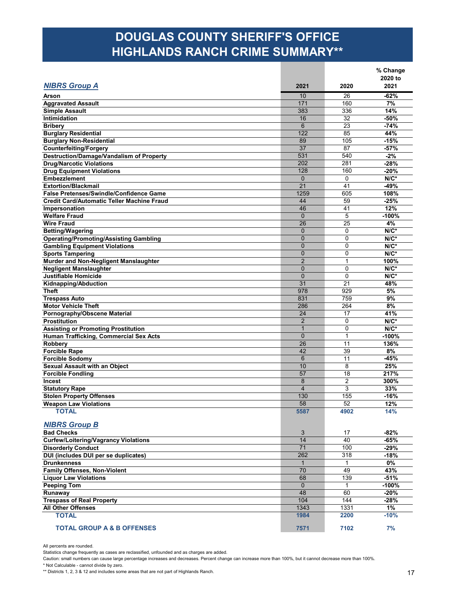### **DOUGLAS COUNTY SHERIFF'S OFFICE HIGHLANDS RANCH CRIME SUMMARY\*\***

| <b>NIBRS Group A</b>                                             | 2021            | 2020         | % Change<br>2020 to<br>2021 |
|------------------------------------------------------------------|-----------------|--------------|-----------------------------|
|                                                                  |                 |              |                             |
| Arson                                                            | 10              | 26           | $-62%$                      |
| <b>Aggravated Assault</b>                                        | 171             | 160          | 7%                          |
| <b>Simple Assault</b>                                            | 383             | 336          | 14%<br>$-50%$               |
| <b>Intimidation</b>                                              | 16<br>6         | 32<br>23     |                             |
| <b>Bribery</b>                                                   | 122             | 85           | $-74%$                      |
| <b>Burglary Residential</b>                                      | 89              | 105          | 44%<br>$-15%$               |
| <b>Burglary Non-Residential</b><br><b>Counterfeiting/Forgery</b> | 37              | 87           | $-57%$                      |
| Destruction/Damage/Vandalism of Property                         | 531             | 540          | $-2%$                       |
| <b>Drug/Narcotic Violations</b>                                  | 202             | 281          | $-28%$                      |
| <b>Drug Equipment Violations</b>                                 | 128             | 160          | $-20%$                      |
| <b>Embezzlement</b>                                              | $\mathbf{0}$    | $\Omega$     | $N/C^*$                     |
| <b>Extortion/Blackmail</b>                                       | 21              | 41           | $-49%$                      |
| <b>False Pretenses/Swindle/Confidence Game</b>                   | 1259            | 605          | 108%                        |
| <b>Credit Card/Automatic Teller Machine Fraud</b>                | 44              | 59           | $-25%$                      |
| Impersonation                                                    | 46              | 41           | 12%                         |
| <b>Welfare Fraud</b>                                             | $\Omega$        | 5            | $-100%$                     |
| <b>Wire Fraud</b>                                                | 26              | 25           | 4%                          |
| <b>Betting/Wagering</b>                                          | $\Omega$        | $\Omega$     | $N/C^*$                     |
| <b>Operating/Promoting/Assisting Gambling</b>                    | $\overline{0}$  | $\Omega$     | $N/C^*$                     |
| <b>Gambling Equipment Violations</b>                             | $\overline{0}$  | $\mathbf 0$  | $N/C^*$                     |
| <b>Sports Tampering</b>                                          | $\overline{0}$  | $\mathbf 0$  | $N/C^*$                     |
| Murder and Non-Negligent Manslaughter                            | $\overline{2}$  | $\mathbf{1}$ | 100%                        |
| <b>Negligent Manslaughter</b>                                    | $\mathbf 0$     | 0            | $N/C^*$                     |
| <b>Justifiable Homicide</b>                                      | $\overline{0}$  | $\mathbf{0}$ | $N/C^*$                     |
| Kidnapping/Abduction                                             | 31              | 21           | 48%                         |
| <b>Theft</b>                                                     | 978             | 929          | 5%                          |
| <b>Trespass Auto</b>                                             | 831             | 759          | 9%                          |
| <b>Motor Vehicle Theft</b>                                       | 286             | 264          | 8%                          |
| Pornography/Obscene Material                                     | 24              | 17           | 41%                         |
| <b>Prostitution</b>                                              | $\overline{2}$  | 0            | $N/C^*$                     |
| <b>Assisting or Promoting Prostitution</b>                       | $\mathbf{1}$    | $\mathbf 0$  | $N/C^*$                     |
| Human Trafficking, Commercial Sex Acts                           | $\Omega$        | $\mathbf{1}$ | $-100%$                     |
| Robbery                                                          | 26              | 11           | 136%                        |
| <b>Forcible Rape</b>                                             | 42              | 39           | 8%                          |
| <b>Forcible Sodomy</b>                                           | $6\phantom{1}6$ | 11           | -45%                        |
| Sexual Assault with an Object                                    | 10              | 8            | 25%                         |
| <b>Forcible Fondling</b>                                         | 57              | 18           | 217%                        |
| Incest                                                           | 8               | 2            | 300%                        |
| <b>Statutory Rape</b>                                            | $\overline{4}$  | 3            | 33%                         |
| <b>Stolen Property Offenses</b>                                  | 130             | 155          | $-16%$                      |
| <b>Weapon Law Violations</b>                                     | 58              | 52           | 12%                         |
| <b>TOTAL</b>                                                     | 5587            | 4902         | 14%                         |
| <b>NIBRS Group B</b>                                             |                 |              |                             |
| <b>Bad Checks</b>                                                | 3               | 17           | $-82%$                      |
| <b>Curfew/Loitering/Vagrancy Violations</b>                      | 14              | 40           | $-65%$                      |
| <b>Disorderly Conduct</b>                                        | 71              | 100          | $-29%$                      |
| DUI (includes DUI per se duplicates)                             | 262             | 318          | $-18%$                      |
| <b>Drunkenness</b>                                               | $\mathbf{1}$    | $\mathbf{1}$ | $0\%$                       |
| <b>Family Offenses, Non-Violent</b>                              | 70              | 49           | 43%                         |
| <b>Liquor Law Violations</b>                                     | 68              | 139          | $-51%$                      |
| <b>Peeping Tom</b>                                               | $\mathbf 0$     | $\mathbf{1}$ | $-100%$                     |
| Runaway                                                          | 48              | 60           | $-20%$                      |
| <b>Trespass of Real Property</b>                                 | 104             | 144          | $-28%$                      |
| <b>All Other Offenses</b>                                        | 1343            | 1331         | 1%                          |
| <b>TOTAL</b>                                                     | 1984            | 2200         | $-10%$                      |
| <b>TOTAL GROUP A &amp; B OFFENSES</b>                            | 7571            | 7102         | 7%                          |

All percents are rounded.

Statistics change frequently as cases are reclassified, unfounded and as charges are added.

Caution: small numbers can cause large percentage increases and decreases. Percent change can increase more than 100%, but it cannot decrease more than 100%. \* Not Calculable - cannot divide by zero.

\*\* Districts 1, 2, 3 & 12 and includes some areas that are not part of Highlands Ranch.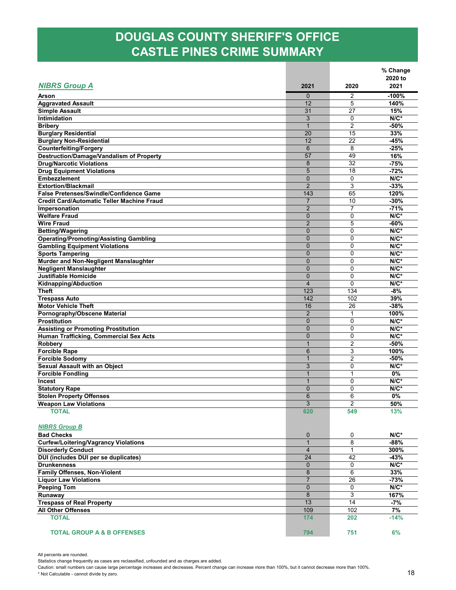### **DOUGLAS COUNTY SHERIFF'S OFFICE CASTLE PINES CRIME SUMMARY**

|                                                               |                                  |                | % Change |
|---------------------------------------------------------------|----------------------------------|----------------|----------|
|                                                               |                                  |                | 2020 to  |
| <b>NIBRS Group A</b>                                          | 2021                             | 2020           | 2021     |
| Arson                                                         | $\mathbf{0}$                     | $\overline{2}$ | $-100%$  |
| <b>Aggravated Assault</b>                                     | 12                               | 5              | 140%     |
| <b>Simple Assault</b>                                         | 31                               | 27             | 15%      |
| Intimidation                                                  | 3                                | 0              | $N/C^*$  |
| <b>Bribery</b>                                                | $\mathbf 1$                      | $\overline{2}$ | $-50%$   |
| <b>Burglary Residential</b>                                   | 20                               | 15             | 33%      |
| <b>Burglary Non-Residential</b>                               | 12                               | 22             | $-45%$   |
| <b>Counterfeiting/Forgery</b>                                 | $6\phantom{1}$                   | 8              | $-25%$   |
| <b>Destruction/Damage/Vandalism of Property</b>               | 57                               | 49             | 16%      |
| <b>Drug/Narcotic Violations</b>                               | 8                                | 32             | $-75%$   |
| <b>Drug Equipment Violations</b>                              | 5                                | 18             | $-72%$   |
| <b>Embezzlement</b>                                           | $\mathbf{0}$                     | $\mathbf 0$    | $N/C^*$  |
| <b>Extortion/Blackmail</b>                                    | $\overline{2}$                   | 3              | $-33%$   |
| <b>False Pretenses/Swindle/Confidence Game</b>                | 143                              | 65             | 120%     |
| <b>Credit Card/Automatic Teller Machine Fraud</b>             | $\overline{7}$                   | 10             | $-30%$   |
| Impersonation                                                 | $\overline{2}$                   | $\overline{7}$ | $-71%$   |
| <b>Welfare Fraud</b>                                          | $\mathbf{0}$                     | 0              | $N/C^*$  |
| <b>Wire Fraud</b>                                             | $\overline{2}$                   | 5              | $-60%$   |
| <b>Betting/Wagering</b>                                       | $\overline{0}$                   | 0              | $N/C^*$  |
| <b>Operating/Promoting/Assisting Gambling</b>                 | $\Omega$                         | 0              | $N/C^*$  |
| <b>Gambling Equipment Violations</b>                          | $\mathbf{0}$                     | 0              | $N/C^*$  |
|                                                               | $\overline{0}$                   | 0              | $N/C^*$  |
| <b>Sports Tampering</b>                                       |                                  | 0              | $N/C^*$  |
| Murder and Non-Negligent Manslaughter                         | $\mathbf 0$                      | 0              |          |
| <b>Negligent Manslaughter</b>                                 | $\mathbf{0}$                     |                | $N/C^*$  |
| <b>Justifiable Homicide</b>                                   | $\overline{0}$<br>$\overline{4}$ | 0              | $N/C^*$  |
| Kidnapping/Abduction                                          |                                  | 0              | $N/C^*$  |
| <b>Theft</b>                                                  | 123                              | 134            | -8%      |
| <b>Trespass Auto</b>                                          | 142                              | 102            | 39%      |
| <b>Motor Vehicle Theft</b>                                    | 16                               | 26             | $-38%$   |
| Pornography/Obscene Material                                  | $\overline{2}$                   | 1              | 100%     |
| <b>Prostitution</b>                                           | $\mathbf{0}$                     | 0              | $N/C^*$  |
| <b>Assisting or Promoting Prostitution</b>                    | $\Omega$                         | 0              | $N/C^*$  |
| Human Trafficking, Commercial Sex Acts                        | $\mathbf{0}$                     | 0              | $N/C^*$  |
| <b>Robbery</b>                                                | 1                                | $\overline{2}$ | $-50%$   |
| <b>Forcible Rape</b>                                          | 6                                | 3              | 100%     |
| <b>Forcible Sodomy</b>                                        | $\mathbf 1$                      | $\overline{2}$ | -50%     |
| <b>Sexual Assault with an Object</b>                          | 3                                | 0              | $N/C^*$  |
| <b>Forcible Fondling</b>                                      | $\overline{1}$                   | 1              | 0%       |
| <b>Incest</b>                                                 | 1                                | 0              | $N/C^*$  |
| <b>Statutory Rape</b>                                         | $\mathbf 0$                      | 0              | $N/C^*$  |
| <b>Stolen Property Offenses</b>                               | 6                                | 6              | 0%       |
| <b>Weapon Law Violations</b>                                  | 3                                | 2              | 50%      |
| <b>TOTAL</b>                                                  | 620                              | 549            | 13%      |
|                                                               |                                  |                |          |
| <b>NIBRS Group B</b>                                          |                                  |                |          |
| <b>Bad Checks</b>                                             | 0                                | 0              | $N/C^*$  |
| <b>Curfew/Loitering/Vagrancy Violations</b>                   | $\mathbf{1}$                     | 8              | $-88%$   |
| <b>Disorderly Conduct</b>                                     | $\overline{4}$                   | $\mathbf{1}$   | 300%     |
| DUI (includes DUI per se duplicates)                          | 24                               | 42             | $-43%$   |
| <b>Drunkenness</b>                                            | $\mathbf{0}$                     | 0              | $N/C^*$  |
| <b>Family Offenses, Non-Violent</b>                           | 8                                | 6              | 33%      |
| <b>Liquor Law Violations</b>                                  | $\overline{7}$                   | 26             | $-73%$   |
| <b>Peeping Tom</b>                                            | $\mathbf{0}$                     | 0              | $N/C^*$  |
| Runaway                                                       | 8                                | 3              | 167%     |
|                                                               | 13                               | 14             | $-7%$    |
| <b>Trespass of Real Property</b><br><b>All Other Offenses</b> | 109                              | 102            | 7%       |
|                                                               |                                  |                |          |
| <b>TOTAL</b>                                                  | 174                              | 202            | $-14%$   |
|                                                               |                                  |                |          |
| <b>TOTAL GROUP A &amp; B OFFENSES</b>                         | 794                              | 751            | 6%       |

All percents are rounded.

Statistics change frequently as cases are reclassified, unfounded and as charges are added.

Caution: small numbers can cause large percentage increases and decreases. Percent change can increase more than 100%, but it cannot decrease more than 100%. \* Not Calculable - cannot divide by zero.